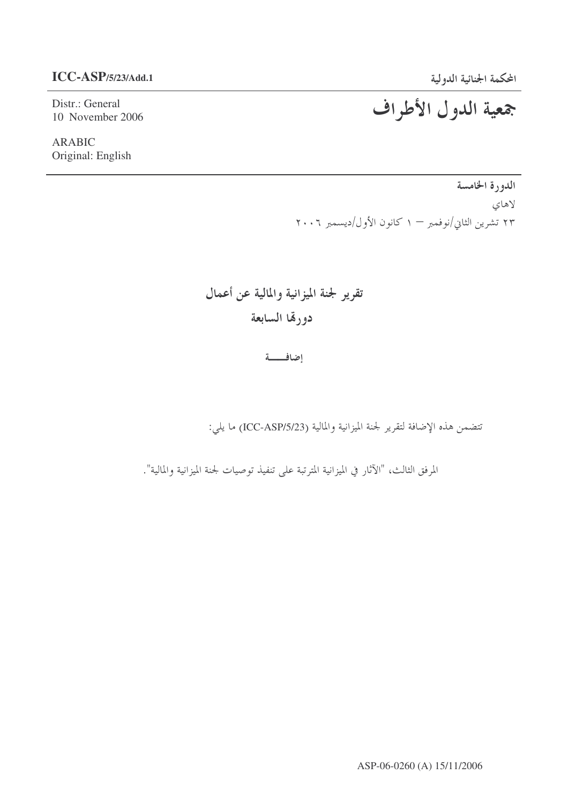Distr.: General 10 November 2006

**ARABIC** Original: English

> الدورة الخامسة لاهاي ۲۳ تشرین الثانی/نوفمبر – ۱ کانون الأول/دیسمبر ۲۰۰۶

تقرير لجنة الميزانية والمالية عن أعمال دورقما السابعة

إضافه

تتضمن هذه الإضافة لتقرير لجنة الميزانية والمالية (ICC-ASP/5/23) ما يلي:

المرفق الثالث، "الآثار في الميزانية المترتبة على تنفيذ توصيات لجنة الميزانية والمالية".

# المحكمة الجنائية الدولية<br>جمعية اللدول الأطراف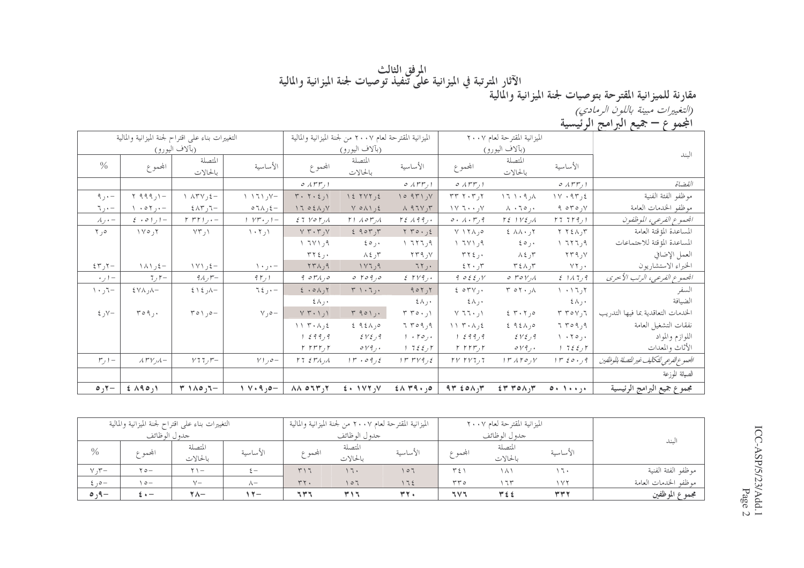# المرفق الثالث<br>مقارنة للميزانية المقترحة بتوصيات لجنة الميزانية والمالية في الميزانية على تنفيذ توصيات لجنة الميزانية والمالية<br>*(التغييرات مبينة باللون ال<sub>ع</sub>ادات الم*حكم)

(*التغييرات مبينة باللون الرمادي)*<br>المجموع **– جميع ال**برا**مج الرئيسية** 

| $\overline{ }$                             | $\cdots$                      |                                            |                                                                      |                                  |                                                         |                                                            |                                |                                                   |                                                         |                                  |
|--------------------------------------------|-------------------------------|--------------------------------------------|----------------------------------------------------------------------|----------------------------------|---------------------------------------------------------|------------------------------------------------------------|--------------------------------|---------------------------------------------------|---------------------------------------------------------|----------------------------------|
|                                            |                               | الميزانية المقترحة لعام ٢٠٠٧               |                                                                      |                                  | الميزانية المقترحة لعام ٢٠٠٧ من لجنة الميزانية والمالية |                                                            |                                | التغييرات بناء على اقتراح لجنة الميزانية والمالية |                                                         |                                  |
| الىند                                      |                               | (بآلاف اليورو)                             |                                                                      |                                  | (بألاف اليورو)                                          |                                                            |                                | (بآلاف اليورو)                                    |                                                         |                                  |
|                                            | الأساسية                      | المتصلة<br>بالحالات                        | المحموع                                                              | الأساسية                         | المتصلة<br>بالحالات                                     | المحموع                                                    | الأساسية                       | المتصلة<br>بالحالات                               | المحموع                                                 | $\frac{0}{0}$                    |
| القضاة                                     | $O(\lambda r r, 1)$           |                                            | 0.1rr,1                                                              | ا ر۶۳۳ ه                         |                                                         | 0.1rr, 1                                                   |                                |                                                   |                                                         |                                  |
| موظفو الفئة الفنية                         | $1 \vee \cdot 9 \vee \cdot 5$ | $\lambda, \beta, \lambda$                  | $\tau \tau \tau \cdot \tau$ ر                                        | 10971, V                         | 15.7V                                                   | $T \cdot T \cdot 21$                                       | $1171y -$                      | $\wedge$ $\wedge$ $\wedge$ $\vee$ $\vee$ $\vee$   | $Y$ 999, $Y -$                                          | $9, -$                           |
| موظفو الخدمات العامة                       | 9.070y                        | $\Lambda$ $\cdot$ 70, $\cdot$              | $\vee$ $\vee$ $\vee$ $\vee$                                          | $\Lambda$ 97 $V, \Upsilon$       | $Y$ $\circ$ $\wedge$ $\wedge$ $\circ$ $\circ$           | 1702A                                                      | $\circ$ 7 $\wedge$ 7 $\circ$   | $5\wedge7$ ر $7-$                                 | $\wedge \cdot \circ \wedge, \cdot -$                    | $\mathcal{L}$ , $\mathcal{L}$    |
| الجموع الفرعي، الموظفون                    | 177779)                       | $\Gamma \xi$   $\gamma \xi$ ) $\Lambda$    | 0.1.59                                                               | $r_{\xi}$ 199,.                  | $\Gamma$ ) $\Lambda$ or $\Lambda$                       | $27$ $V$ $0$ $V$ <sub><math>1</math></sub> $A$             | $ y - y + y  -$                | $rrr_{1}$ . -                                     | $\xi$ + 0 1 $\eta$ + -                                  | $\lambda$ <sub>J</sub> $\cdot$ – |
| المساعدة المؤقتة العامة                    | $Y Y \xi \wedge y Y$          | $2 \lambda \lambda \cdot 17$               | $V \setminus Y \wedge , \circ$                                       | $Y Y 0 \cdot 12$                 | 290                                                     | $V \n\cdot \n\cdot \n\cdot V$                              | $\langle \cdot, \tau \rangle$  | VT,1                                              | $\gamma \circ \gamma$                                   | $\Upsilon$ , $\circ$             |
| المساعدة المؤقتة للاجتماعات                | 1777,9                        | $\epsilon \circ \cdots$                    | Y 7Y                                                                 | 1777,9                           | $\epsilon \circ \cdots$                                 | ۹ ر۱ ۱۳ ۱                                                  |                                |                                                   |                                                         |                                  |
| العمل الإضافي                              | ۷ر ۲۳۹                        | $\lambda \xi$ , ۳                          | $\tau \tau \epsilon$ ,                                               | ۷ر ۲۳۹                           | $\lambda \xi$ , $\zeta$                                 | $\tau\tau\epsilon$                                         |                                |                                                   |                                                         |                                  |
| الخبراء الاستشاريون                        | ۰ ر۲۲                         | $T \xi \wedge \gamma T$                    | 55.7                                                                 | 75.                              | 1177,9                                                  | $\gamma \gamma \wedge \gamma$                              | $\setminus \cdot \cdot, \cdot$ | - ٤ ر ١٧١                                         | – ٤ ر ١٨١                                               | $57 - 7$ ر                       |
| الجموع الفرعي، الرتب الأخرى                | 211779                        | $\circ$ roy $\wedge$                       | $9.022 \nu$                                                          | $Z$ $TV$ 9,.                     | 0.7090                                                  | 9.01/10                                                    | $9 \gamma$                     | $9$ سال                                           | 7,7                                                     | $\cdot$ ر $\cdot$                |
| السفر                                      | $1 + 17$ ر ٦                  | $\mathsf{r}\circ\mathsf{r}\cdot\mathsf{A}$ | $207V$ .                                                             | 905,7                            | $\mathbf{r} \wedge \mathbf{r}$                          | $2 \cdot 0 \wedge 7$                                       | $7\xi$ ر کا                    | $5 \times 2 -$                                    | $5 \vee \wedge$ , $\wedge -$                            | $\cdots$ ر ۱۰                    |
| الضيافة                                    | $\xi \wedge$ , $\cdot$        |                                            | $\xi \wedge$ , .                                                     | $\mathfrak{c}\wedge\mathfrak{c}$ |                                                         | $\xi \wedge$ , $\cdot$                                     |                                |                                                   |                                                         |                                  |
| الخدمات التعاقدية بما فيها التدريب         | $T$ ۲٥٧٫٦                     | $2 \times 10$                              | $Y$ ٦٦٠ /١                                                           | $\upmu$ ۲ و ۲۰ ۳                 | $Y$ 901,.                                               | $Y$ ۲۰۱٫۱                                                  | $\vee$ , $\circ$ -             | $\mathcal{L} \circ \mathcal{L} \circ \mathcal{L}$ | $r \circ q$ ,.                                          | $\xi$ , $y -$                    |
| نفقات التشغيل العامة                       | 7709,9                        | $292 \land 90$                             | $\{ \ }$ $\mathsf{Y}$ $\cdot$ $\mathsf{A}$ $\mathsf{X}$ $\mathsf{S}$ | 7709,9                           | $292 \land 90$                                          | $\wedge \wedge$ $\vee$ $\wedge$ $\wedge$ $\wedge$ $\wedge$ |                                |                                                   |                                                         |                                  |
| اللوازم والمواد                            | ۰ر۱۰۲۰ ۱                      | EVI, 9                                     | 1299,9                                                               | $1 + 70$ ,                       | EVI, 9                                                  | 1299,9                                                     |                                |                                                   |                                                         |                                  |
| الأثاث والمعدات                            | 17257                         | $\circ \nu$ ٩,٠                            | $r$ $rrr$ , $r$                                                      | ار ۲ و ۲ د ۱ $\tau$              | $\circ \nu$ ۹,۰                                         | $r$ $rrr$ , $r$                                            |                                |                                                   |                                                         |                                  |
| الجموع الفرعي للتكاليف غير التصلة بالوظفين | $1 r$ ده د ۱۳                 | $\mathcal{U} \cap \mathcal{A}$             | $\gamma \gamma \gamma \gamma$                                        | 1 r r v q                        | $1r \cdot 09,2$                                         | 17.5 M/A                                                   | $Y$ ) $o-$                     | $Y$ 77 $\mathcal{F}$                              | $\lambda$ r $V$ <sub><math>\nu</math></sub> $\lambda$ – | $r, -$                           |
| الصيانة الموزعة                            |                               |                                            |                                                                      |                                  |                                                         |                                                            |                                |                                                   |                                                         |                                  |
| مجموع جميع البرامج الرئيسية                | $0 + 1 + i$                   | $ET$ $TOA$ $Y$                             | $94$ $20\land 14$                                                    | $2\Lambda$ $49 \cdot 10$         | $2 \cdot 117.7$                                         | $\lambda \lambda$ or $\mu$ <sub>1</sub> y                  | $V \cdot 9$ ر ۹ ۰              | $T \cap A \circ \mathfrak{I}$                     | $f \wedge 90,1$                                         | $\circ$ , $\circ$                |

|               |                       | التغييرات بناء على اقتراح لجنة الميزانية والمالية |            |         | الميزانية المقترحة لعام ٢٠٠٧ من لجنة الميزانية والمالية<br>الميزانية المقترحة لعام ٢٠٠٧ |          |              |                   |            |                      |
|---------------|-----------------------|---------------------------------------------------|------------|---------|-----------------------------------------------------------------------------------------|----------|--------------|-------------------|------------|----------------------|
|               | جدو ل الو ظائف        |                                                   |            |         | جدول الوظائف                                                                            |          | جدول الوظائف |                   |            |                      |
| $\frac{0}{0}$ |                       | المتصلة                                           | الأساسية   |         | المتصلة                                                                                 | الأساسية |              | المتصلة           | الأساسية   | لىند                 |
|               | المحموع               | بالحالات                                          |            | المحموع | بالحالات                                                                                |          | المحموع      | بالحالات          |            |                      |
| Y, Y          | $\forall$ $\circ$ $-$ | $\mathbf{y}$ $\mathbf{y}$                         | $\sim$     | T17     | ۱٦.                                                                                     | 107      | $T \xi$      | $\lambda \lambda$ | ۱٦۰        | موظفو الفئة الفنية   |
| $2,0-$        | $\circ$ -             | $V -$                                             | $\wedge$ - | $rr +$  | ۲ ۱ ۵                                                                                   | 172      | $rr \circ$   | ۱٦٣               | $\sqrt{7}$ | موظفو الحدمات العامة |
| $0.9-$        | $\mathbf{t}$ + $-$    | $\tau \wedge -$                                   | $A \vee A$ | ٦٣٦     | <b>۳۱۶</b>                                                                              | rr.      | ٦V٦          | <b>٣٤٤</b>        | <b>٣٣٢</b> | مجموع الموظفين       |

ICC-ASP/5/23/Add.1<br>Page 2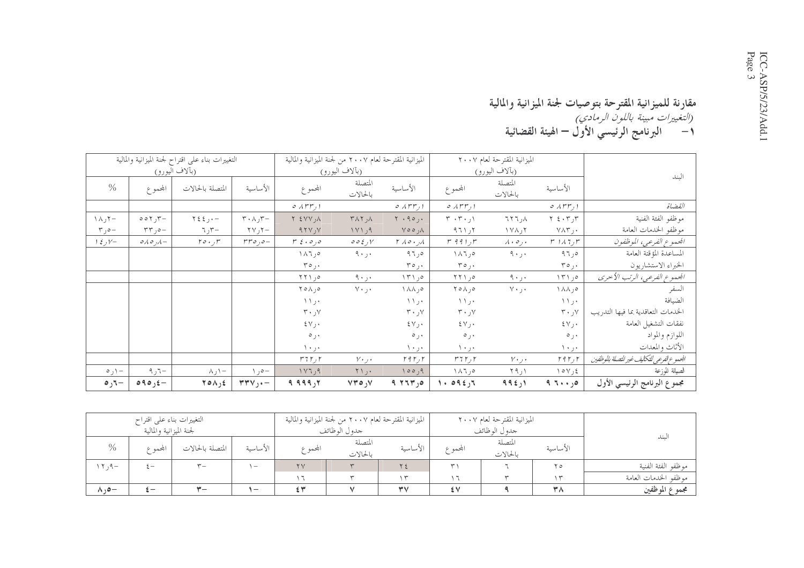#### مقارنة للميزانية المقترحة بتوصيات لجنة الميزانية والمالية

|                         |                                   | التغييرات بناء على اقتراح لجنة الميزانية والمالية |                                               | الميزانية المقترحة لعام ٢٠٠٧ من لجنة الميزانية والمالية |                     |                                                   |                                                | الميزانية المقترحة لعام ٢٠٠٧    |                               |                                           |
|-------------------------|-----------------------------------|---------------------------------------------------|-----------------------------------------------|---------------------------------------------------------|---------------------|---------------------------------------------------|------------------------------------------------|---------------------------------|-------------------------------|-------------------------------------------|
|                         |                                   | (بآلاف الي <u>ورو)</u>                            |                                               |                                                         | (بألاف اليورو)      |                                                   |                                                | (بألاف اليورو)                  |                               | البند                                     |
| $\frac{0}{0}$           | المجموع                           | المتصلة بالحالات                                  | الأساسية                                      | المحموع                                                 | المتصلة<br>بالحالات | الأساسية                                          | المحموع                                        | المتصلة<br>بالحالات             | الأساسية                      |                                           |
|                         |                                   |                                                   |                                               | $\circ$ $\wedge$ rr $_{1}$ $\circ$                      |                     | $\circ$ $\wedge$ $\uparrow$ $\uparrow$ $\uparrow$ | ا ر۲۳ م                                        |                                 | ا ر۶۳۳ ه                      | الفضاة                                    |
| −۲ر∧۱                   | $\circ \circ \gamma$ , $\gamma -$ | $\gamma \xi \xi$ , $-$                            | $\tau \cdot \wedge \tau$                      | $Y$ $\leq$ $Y$ $Y$ , $\wedge$                           | ۸ر ۲۸۲              | $Y \cdot 90, \cdot$                               | $\mathbf{r} \cdot \mathbf{r} \cdot \mathbf{y}$ | $\lambda$ , $\Gamma$ $\Upsilon$ | $Y \n\in \cdot Y, Y$          | موظفو الفئة الفنية                        |
| $r, o-$                 | $\tau\tau$ , $\circ$              | $\nabla \cdot \vec{r}$ ر ہ                        | $\tau$ ۲۷٫۲ $-$                               | 97Y, Y                                                  | ۹ر ۱۷۱              | $V \circ \circ \Lambda$                           | 971,7                                          | $\gamma$ ۲ ر $\gamma$           | $V \wedge \Upsilon$ .         | موظفو الخدمات العامة                      |
| $1 \xi y -$             | $\circ$ A $\circ$ , $\wedge$ $-$  | $r \circ \cdot \circ r$                           | $rro, o-$                                     | $r \xi$ ، و $\sigma$                                    | 002yV               | $\mathcal{M} \circ \cdot_{\mathcal{M}}$           | $r$ 991, $r$                                   | $\lambda \cdot \circ$ , $\cdot$ | $r \sqrt{11}$                 | الجمعوع الفرعي، الموظفون                  |
|                         |                                   |                                                   |                                               | ۰۸۶٫۰                                                   | ۰ر ۹۰               | 97,0                                              | $\wedge \wedge \wedge , \circ$                 | ۰ر ۹۰                           | ەر٩٦                          | المساعدة المؤقتة العامة                   |
|                         |                                   |                                                   |                                               | $r \circ$ ,.                                            |                     | ۰ر۳۰                                              | $r \circ$ ,.                                   |                                 | $r \circ \underline{\cdot}$   | الخبراء الاستشاريون                       |
|                         |                                   |                                                   |                                               | 551,0                                                   | ۰۰ ر ۹۰             | $\Upsilon$ $\uparrow$ $\Upsilon$                  | 0, 177                                         | ۰۰ ر ۹۰                         | ۱۳۱٫۰                         | المحموع الفرعي، الرتب الأحرى              |
|                         |                                   |                                                   |                                               | ∘ر∧ه۲                                                   | ۲۰ر۲۰               | ۰٫۸۸ ۱                                            | $Y \circ \wedge, \circ$                        | $Y \cdot 1.$                    | ٥ر ۱۸۸                        | السفر                                     |
|                         |                                   |                                                   |                                               | ۰ ر ۱                                                   |                     | $\setminus \setminus \cdot$                       | ۰ ر ۱                                          |                                 | ۰ ر ۱                         | الضيافة                                   |
|                         |                                   |                                                   |                                               | $\mathbf{y} \cdot \mathbf{y}$                           |                     | $\mathbf{y} \cdot \mathbf{y}$                     | $\mathbf{r} \cdot \mathbf{y}$                  |                                 | $\mathbf{r} \cdot \mathbf{y}$ | الخدمات التعاقدية بما فيها التدريب        |
|                         |                                   |                                                   |                                               | ⊀رγ≵                                                    |                     | $\mathcal{X} \vee \mathcal{Y}$                    | $\mathcal{X} \vee \mathcal{Y}$                 |                                 | ٤٧٫٠                          | نفقات التشغيل العامة                      |
|                         |                                   |                                                   |                                               | ۰ ره                                                    |                     | ۰ ر ۵                                             | ۰ ره                                           |                                 | ۰ ره                          | اللوازم والمواد                           |
|                         |                                   |                                                   |                                               | ۱۰ ر۰ ۱                                                 |                     | ۰۰ ر ۱۰                                           | ۱۰ ر۰ ۱                                        |                                 | ۰۰ ر۰ ۱                       | الأثاث والمعدات                           |
|                         |                                   |                                                   |                                               | $r$ ر 17 $r$                                            | $V \cdot j \cdot$   | ۲ ر۲۹۲                                            | $r$ 7 $r$ ر $r$                                | $V \cdot \cdot \cdot$           | $r \nmid r$                   | الجموع الفرعي للتكايف غير للتصلة بالوظفين |
| $\circ$ $\circ$ $\circ$ | $\neg$ ر $\neg$                   | $\wedge$ , $\wedge$ -                             | $\rightarrow$ $\circ$ -                       | ۹ر۱۷٦                                                   | $Y \setminus \cdot$ | 100,9                                             | $\wedge \wedge \wedge , \circ$                 | Y9,1                            | ٤ ر٧٥٧                        | الصيانة للوزعة                            |
| -٦ره                    | $\circ \circ \circ \circ -$       | $Y \circ \Lambda_1$                               | $\mathbf{r}\mathbf{r} \mathbf{v}$ , $\cdot$ - | ۲ر۹۹۹ ۹                                                 | $VY \circ V$        | 9, 75, 6                                          | 1.0925                                         | ۱ر ۹۹٤                          | ۰٫۰ و ۹                       | مجموع البرنامج الرئيسي الأول              |

|                        | التغييرات بناء علىي اقتراح |                  |                                 |                  | الميزانية المقترحة لعام ٢٠٠٧ من لجنة الميزانية والمالية |             |         | الميزانية المقترحة لعام ٢٠٠٧ |          |                      |
|------------------------|----------------------------|------------------|---------------------------------|------------------|---------------------------------------------------------|-------------|---------|------------------------------|----------|----------------------|
|                        | لجنة الميزانية والمالية    |                  |                                 | جدول الوظائف     |                                                         |             |         | جدو ل الوظائف                |          |                      |
| $\frac{0}{0}$          | المجمم ع                   | المتصلة بالحالات | الأساسية                        | المجمم ع         | المتصلة                                                 | الأساسية    | المحموع | المتصلة                      | الأساسية | سىد                  |
|                        |                            |                  |                                 |                  | بالحالات                                                |             |         | بالحالات                     |          |                      |
| $, 7, 9 -$             | $\overline{\phantom{0}}$   | $\mathbf{v}_{-}$ | $\hspace{0.1mm}-\hspace{0.1mm}$ | $\Upsilon$       |                                                         | ۲٤          | ۳۱      |                              | ۲ ٥      | موظفو الفئة الفنية   |
|                        |                            |                  |                                 | $\cdot$ $-$      |                                                         | $\check{}$  |         |                              | سم ۱     | موظفو الحدمات العامة |
| $\wedge$ , $\circ$ $-$ | .<br>                      | $\mathbf{v}-$    | $\overline{\phantom{0}}$        | $\leq$ $\forall$ |                                                         | $\forall v$ | ٤V      |                              | ۳۸       | مجموع الموظفين       |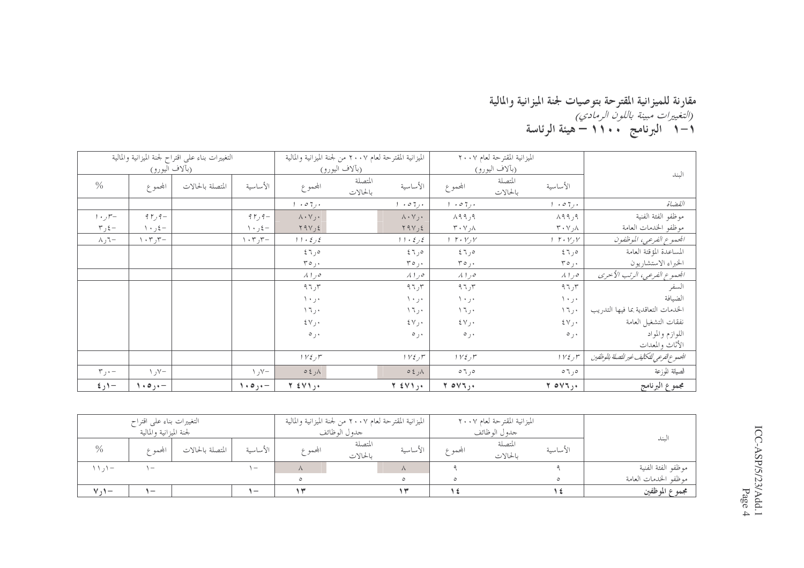### مقارنة للميزانية المقترحة بتوصيات لجنة الميزانية والمالية<br>*(التغييرات مبينة باللون الرمادي)*<br>١—١ البرنامج • • ١ 1 — هيئة الرئاسة

|                           |                       | التغييرات بناء على اقتراح لجنة الميزانية والمالية |                            |                                | الميزانية المقترحة لعام ٢٠٠٧ من لجنة الميزانية والمالية |                                            | الميزانية المقترحة لعام ٢٠٠٧          |                                           |
|---------------------------|-----------------------|---------------------------------------------------|----------------------------|--------------------------------|---------------------------------------------------------|--------------------------------------------|---------------------------------------|-------------------------------------------|
|                           | (بآلاف <u>اليورو)</u> |                                                   |                            |                                | (بآلاف اليورو)                                          |                                            | (بآلاف اليورو)                        | الىند                                     |
| $\frac{0}{0}$             | المحموع               | المتصلة بالحالات                                  | الأساسية                   | المحموع                        | المتصلة<br>الأساسية<br>بالحالات                         | المجموع                                    | المتصلة<br>الأساسية<br>بالحالات       |                                           |
|                           |                       |                                                   |                            | $\cdot \circ 7$ .              | .07.                                                    | $\cdot \circ \tau_{\mathcal{F}}$           | $1 + 07$ ,                            | القضاة                                    |
| $1 + r$                   | $9r$ , $9-$           |                                                   | $95, 9-$                   | $\lambda \cdot \vee_j \cdot$   | $\wedge \cdot \vee \cdot$                               | ۹ر۹۹۸                                      | ۹ر۹۹۸                                 | موظفو الفئة الفنية                        |
| $\tau$ ر ۳                | – ٤ ر ١٠              |                                                   | – ځ ر ۱۰                   | Y9V, 2                         | $Y$ ۹۷٫٤                                                | $\mathsf{r}\cdot\mathsf{v}\cdot\mathsf{A}$ | ∧ر∨∙۳                                 | موظفو الخدمات العامة                      |
| $-\zeta$ ر                | $\cdot$ ۳ر $\tau$ ۰۲  |                                                   | $\cdot$ , $\mathbf{r}$ ر ۲ | 11.5                           | 11.5                                                    | $1 T \cdot V_y V$                          | $1 T \cdot Y_1 Y$                     | الجموع الفرعي، الموظفون                   |
|                           |                       |                                                   |                            | ەر 1 \$                        | ەر٦٤                                                    | ەر٦٤                                       | ەر٦٤                                  | المساعدة المؤقتة العامة                   |
|                           |                       |                                                   |                            | $r \circ$ ,.                   | ۰ر ۳۰                                                   | ۰ر۳۵                                       | ۰ر۰۳                                  | الخبراء الاستشاريون                       |
|                           |                       |                                                   |                            | ە را ۸                         | ه ر ۱ ۸                                                 | ە را ۸                                     | $\lambda$ $\lambda$ را                | الجموع الفرعي، الرتب الأحرى               |
|                           |                       |                                                   |                            | ۹٦٫۳                           | ۹۶٫۳                                                    | ۹٦٫۳                                       | ۳ر۹۲                                  | السفر                                     |
|                           |                       |                                                   |                            | ۱۰ر۱۰                          | ٠٠ر٠١                                                   | ۱۰ر۱۰                                      | ٠٠ر٠١                                 | الضيافة                                   |
|                           |                       |                                                   |                            | ۱٦,۰                           | ۱٦٫۰                                                    | ۱٦٫۰                                       | ۰ ر۲ ۱                                | الخدمات التعاقدية بما فيها التدريب        |
|                           |                       |                                                   |                            | $\mathcal{X} \vee \mathcal{Y}$ | ٤٧ <sub>ل</sub> ۰                                       | ٤٧٫٠                                       | $\mathcal{X} \vee \mathcal{Y}$        | نفقات التشغيل العامة                      |
|                           |                       |                                                   |                            | ۰ ره                           | $\circ$ ,                                               | ۰ ره                                       | ۰ ره                                  | اللوازم والمواد                           |
|                           |                       |                                                   |                            |                                |                                                         |                                            |                                       | الأثاث والمعدات                           |
|                           |                       |                                                   |                            | $1 Y \xi$ ر $\zeta$            | $1 Y \xi$ ر $r$                                         | ۳ ر۲۷ ۱                                    | $1 Y \xi_J r$                         | الجموع الفرعي للتكايف غير للتصلة بالوظفين |
| $r_{j}$ ۰ –               | $\vee$ ر ۱            |                                                   | $\vee$ ر ۱                 | $0 \xi$ ر ٤                    | ۸ر ٤ ه                                                  | ەر ٦ ە                                     | ەر ٦٥                                 | الصيانة للوزعة                            |
| $\epsilon$ / ر $\epsilon$ | 1.0                   |                                                   | $1.0, -$                   | $Y \in V$ ).                   | $Y \leq V1$ ,                                           | $Y$ $OVI$                                  | $Y$ $\circ$ $V$ $\ddot{\ }$ , $\cdot$ | مجموع البرنامج                            |

|                               | التغييرات بناء على اقتراح |                  |                |            | الميزانية المقترحة لعام ٢٠٠٧ من لجنة الميزانية والمالية |            |                | الميزانية المقترحة لعام ٢٠٠٧ |          |                      |
|-------------------------------|---------------------------|------------------|----------------|------------|---------------------------------------------------------|------------|----------------|------------------------------|----------|----------------------|
|                               | لجنة الميزانية والمالية   |                  |                |            | جدو ل الو ظائف                                          |            | جدو ل الو ظائف |                              |          |                      |
| $\%$                          | بحمه ۶                    | المتصلة بالحالات | الأساسىة       | المجمم ع   | المتصلة<br>بالحالات                                     | الأساسية   | المجممه ع      | المتصلة<br>بالحالات          | الأساسىة | لىند                 |
| $\setminus \setminus -$       | $\overline{\phantom{a}}$  |                  | $\overline{ }$ | $\sqrt{2}$ |                                                         | $\sqrt{ }$ |                |                              |          | موظفو الفئة الفنية   |
|                               |                           |                  |                |            |                                                         | $\circ$    |                |                              |          | موظفو الخدمات العامة |
| $\mathcal{N}$ , $\mathcal{N}$ | $\overline{\phantom{a}}$  |                  | ı —            |            |                                                         |            |                |                              |          | مجموع الموظفين       |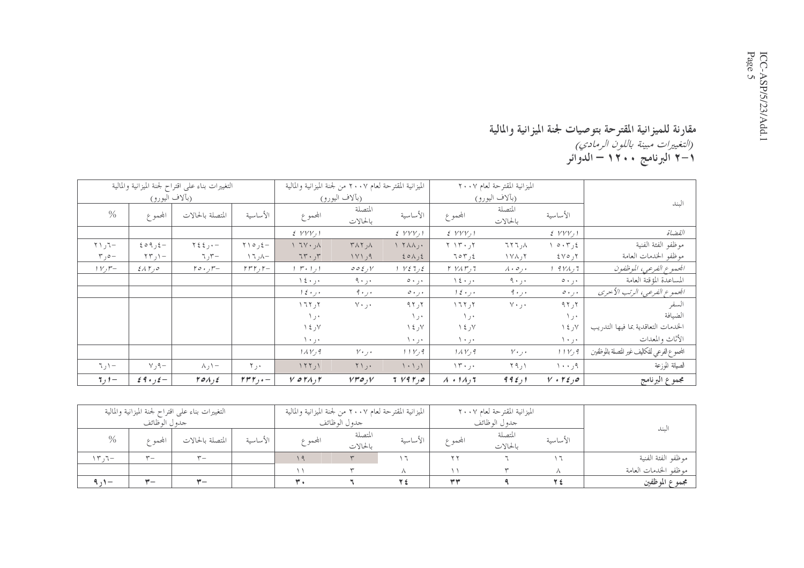## مقارنة للميزانية المقترحة بتوصيات لجنة الميزانية والمالية<br>*(التغييرات مبينة باللون الرمادي)*<br>١–٢ البرنامج ١٢٠٠ – الدوائر

|                             |                                   | التغييرات بناء على اقتراح لجنة الميزانية والمالية |                                   | الميزانية المقترحة لعام ٢٠٠٧ من لجنة الميزانية والمالية |                       |                                  | الميزانية المقترحة لعام ٢٠٠٧    |                                  |                           |                                              |
|-----------------------------|-----------------------------------|---------------------------------------------------|-----------------------------------|---------------------------------------------------------|-----------------------|----------------------------------|---------------------------------|----------------------------------|---------------------------|----------------------------------------------|
|                             | (بألاف اليورو)                    |                                                   |                                   |                                                         | (بآلاف اليورو)        |                                  |                                 | (بآلاف اليورو)                   |                           | الىند                                        |
| $\frac{0}{0}$               | المجموع                           | المتصلة بالحالات                                  | الأساسية                          | المحموع                                                 | المتصلة<br>بالحالات   | الأساسية                         | المحموع                         | المتصلة<br>بالحالات              | الأساسية                  |                                              |
|                             |                                   |                                                   |                                   | $\mathcal{E}$ $VVV$ , 1                                 |                       | $\mathcal{E}$ $VVV$ , 1          | $\mathcal{E}$ $VVV$ , 1         |                                  | $E$ $VVV$ , 1             | القضاة                                       |
| $-T_1$ / $T$                | $209, 2 -$                        | $\gamma$ { $\xi$ } $\gamma$                       | $\uparrow$ ) $\circ$ , $\uparrow$ | $\wedge, \vee \vee$ /                                   | ۸ر ۲۸۲                | $\lambda$ $\lambda$ $\lambda$ ,. | $Y \setminus Y \cdot Y$         | $\lambda$ , $\tau$ $\tau$ $\tau$ | ٤ر ٢٠٣ م                  | موظفو الفئة الفنية                           |
| $\mathbf{r}$ , $\mathbf{0}$ | $\Upsilon \Upsilon$ ر ۲۳          | $\nabla \cdot \mathbf{r}$ ر ٦                     | $\wedge$ ر ۱                      | 75.7                                                    | $1 \vee 1,9$          | 201,2                            | 707,2                           | $\gamma$ ۲ ر $\lambda$ ۲         | ۲ره∨٤                     | موظفو الخدمات العامة                         |
| $V, \mathcal{F}$            | $2\lambda \Gamma$ , $\circ$       | $r \circ \cdot \cdot r -$                         | $rrr, r-$                         | $1 \cdot r \cdot 1$                                     | 002yV                 | $1$ $1272$                       | Y VAT,7                         | $\lambda \cdot \circ \cdot$      | <i>1 9 V A ,</i> 7        | الجموع الفرعي، الموظفون                      |
|                             |                                   |                                                   |                                   | $\lambda \xi \cdot \beta \cdot$                         | $9 \cdot 1 \cdot$     | $\circ \cdot \cdot \cdot$        | $\lambda \xi \cdot \beta \cdot$ | ۰٫۰ و ۹                          | $\circ \cdot \cdot \cdot$ | المساعدة المؤقتة العامة                      |
|                             |                                   |                                                   |                                   | $1 \xi \cdot j \cdot$                                   | ۰ ر ۰ ۹               | $\circ \cdot$ , $\cdot$          | $1 \xi \cdot j \cdot$           | $9 \cdot 1.$                     | ، ر، ه                    | الجموع الفرعي، الرتب الأحرى                  |
|                             |                                   |                                                   |                                   | ٢ ر ٢ ٦٢                                                | $Y \cdot 1.$          | ۲ر۹۲                             | 1777,                           | $Y \cdot 1.$                     | 7 <sub>1</sub>            | السفر                                        |
|                             |                                   |                                                   |                                   | ۰ ر ۱                                                   |                       | ۰ ر ۱                            | ۰ ر ۱                           |                                  | ۰ ر ۱                     | الضيافة                                      |
|                             |                                   |                                                   |                                   | ۷ر ٤ ۱                                                  |                       | ۷ر ۱٤                            | ۷ر ۱٤                           |                                  | ٧ر ١٤                     | الخدمات التعاقدية بما فيها التدريب           |
|                             |                                   |                                                   |                                   | ۰۰ ر ۱۰                                                 |                       | ۰۰ ر ۱۰                          | ۰۰ ر ۱۰                         |                                  | ا در ۱۰                   | الأثاث والمعدات                              |
|                             |                                   |                                                   |                                   | $1\Lambda V, 9$                                         | $Y \cdot \cdot \cdot$ | 11V4                             | $1\Lambda V, 9$                 | $v \cdot \cdot \cdot$            | 111/9                     | المحموع الفرعي للتكاليف غير للتصلة بالموظفين |
| $\top$ ار                   | $Y, 9-$                           | −۱ر∧                                              | ۰ ر ۲                             | ١ ر ١٢٢                                                 | ۰ ر ۲۱                | $\langle \cdot \rangle$          | $\Upsilon$                      | ۱ ر۹۹                            | ۹ر۱۰۰                     | الصيانة للوزعة                               |
| $7,1-$                      | $\mathcal{E}$ 9 + $\mathcal{E}$ + | $\mathcal{V}$                                     | $rrr_{j+}$                        | $V$ or $\Lambda$ , $\mathsf{r}$                         | $V\mathcal{r}o, V$    | 7 V4Y,0                          | $\lambda$ + $1\lambda$ , 7      | 995,1                            | $V \cdot r \epsilon$ ,0   | مجموع البرنامج                               |

|         |               | التغييرات بناء علىي اقتراح لجنة الميزانية والمالية |          | الميزانية المقترحة لعام ٢٠٠٧ من لجنة الميزانية والمالية |                     |          | الميزانية المقترحة لعام ٢٠٠٧ |                     |          |                      |
|---------|---------------|----------------------------------------------------|----------|---------------------------------------------------------|---------------------|----------|------------------------------|---------------------|----------|----------------------|
|         | جدو ل الوظائف |                                                    |          |                                                         | جدو ل الو ظائف      |          | جدو ل الوظائف                |                     |          |                      |
| $\%$    | بحمه ۶        | المتصلة بالحالات                                   | الأساسىة | المحموع                                                 | المتصلة<br>بالحالات | الأساسية | المجموع                      | المتصلة<br>بالحالات | الأساسية | سىد                  |
| T, T    | $ -$          | $\mathbf{v}_{-}$                                   |          |                                                         |                     |          |                              |                     |          | موظفو الفئة الفنية   |
|         |               |                                                    |          |                                                         |                     |          |                              |                     |          | موظفو الحدمات العامة |
| $4.1 -$ | $-$           | — ₩                                                |          |                                                         |                     | ٣£       | فاية للية                    |                     |          | مجموع الموظفين       |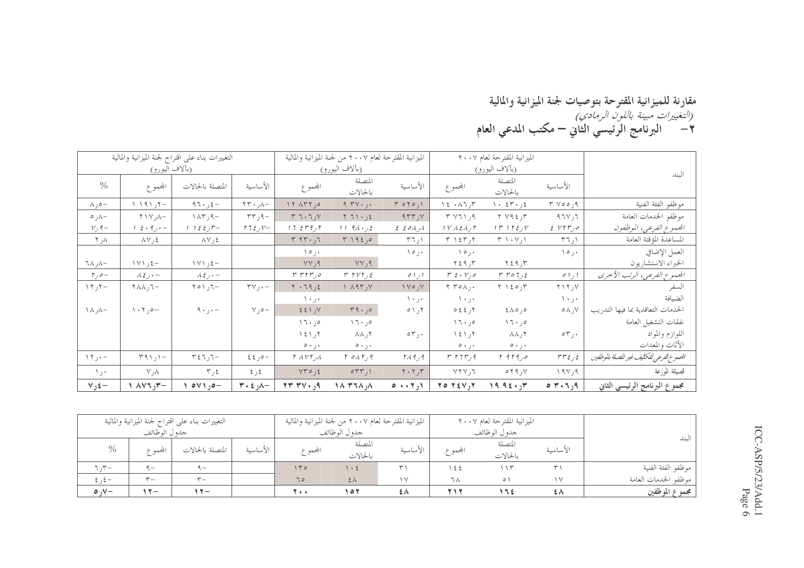مقارنة للميزانية المقترحة بتوصيات لجنة الميزانية والمالية<br>*(التغييرات مبينة باللون الرمادي)*<br>٢ – البرنامج الرئيسي الثاني – مكتب المدعي العام

|                                  |                                                       | التغييرات بناء على اقتراح لجنة الميزانية والمالية |                                      |                                                         | الميزانية المقترحة لعام ٢٠٠٧ من لجنة الميزانية والمالية |                                                                       |                                                             | الميزانية المقترحة لعام ٢٠٠٧                                   |                       |                                           |
|----------------------------------|-------------------------------------------------------|---------------------------------------------------|--------------------------------------|---------------------------------------------------------|---------------------------------------------------------|-----------------------------------------------------------------------|-------------------------------------------------------------|----------------------------------------------------------------|-----------------------|-------------------------------------------|
|                                  | (بآلاف اليورو)                                        |                                                   |                                      |                                                         | (بآلاف اليورو)                                          |                                                                       |                                                             | (بآلاف اليورو)                                                 |                       | الىند                                     |
| $\frac{0}{0}$                    | المحموع                                               | المتصلة بالحالات                                  | الأساسية                             | المحموع                                                 | المتصلة<br>بالحالات                                     | الأساسية                                                              | المحموع                                                     | المتصلة<br>بالحالات                                            | الأساسىة              |                                           |
| −ەر∧                             | $+7$ ر ۱۹۱ ۱                                          | ۹٦۰٫٤ $-$                                         | $\forall$ ر ۲۳۰ $\sim$               | ٥ ر٢٢٨ ١٢                                               | 9.744.                                                  | TOTO, N                                                               | $\lambda \xi \cdot \lambda \tau, \tau$                      | $\lambda$ + $55 - 25$                                          | ۹ره ۲۵ ۳              | موظفو الفئة الفنية                        |
| −∧ر ہ                            | $\wedge$ $\wedge$ $\wedge$                            | $\wedge \wedge \wedge$ , $\wedge$                 | $\tau\tau$ ر ۲۳                      | $Y \nightharpoondown Y \nightharpoondown Y$             | Y 71.36                                                 | 977, 1                                                                | T V11,9                                                     | ۳ر ۲۷۹٤                                                        | 971                   | موظفو الخدمات العامة                      |
| $V, 9-$                          | $\xi \cdot 9$ , $\cdot$ –                             | $1 \; 1 \; \xi \; \xi \; j^{\mu} -$               | $172, V -$                           | 175777                                                  | $11.94 \cdot 12$                                        | $\mathcal{E}$ $\mathcal{E}$ $\mathcal{E}$ $\mathcal{E}$ $\mathcal{E}$ | $1$ $V$ $\Lambda$ $\mathcal{\xi}$ $\Lambda$ $_{J}$ $\Gamma$ | $\gamma$ ر ١٢٤ م                                               | EVTr,o                | الجمعوع الفرعي، الموظفون                  |
| ∧ر ۲                             | ≵ر∆۸                                                  | ≵ر∆∧                                              |                                      | $T \setminus T$                                         | T192,0                                                  | ۱ر ۳٦                                                                 | ۲ ر۲۶ ۲                                                     | ۰۷٫۱ ۳                                                         | ۱ر۲٦                  | المساعدة المؤقتة العامة                   |
|                                  |                                                       |                                                   |                                      | $\setminus \circ$ ,                                     |                                                         | ۱۰ ره ۱                                                               | ۰ ر ۱۰                                                      |                                                                | $\vee$ $\circ$ $\vee$ | العمل الإضافي                             |
| ٦٨, $\lambda-$                   | $\setminus \setminus \setminus \setminus \mathcal{E}$ | $\setminus \setminus \setminus$ /                 |                                      | ۹ر۷۷                                                    | YY, 9                                                   |                                                                       | $Y \xi$ ۹٫۳                                                 | $Y \xi$ ۹٫۳                                                    |                       | الخبراء الاستشاريون                       |
| $r, \circ -$                     | $\lambda \xi$ , $\cdot$ -                             | $\lambda \xi$ , $\cdot$ -                         |                                      | rrrr <sub>0</sub>                                       | $r$ $r$ $r$ $r$ $s$                                     | ا ر ۱ ه                                                               | $r \xi \cdot V_{J} \circ$                                   | $r$ ro $7, 2$                                                  | ا ر ۱ ه               | الجموع الفرعي، الرتب الأحرى               |
| $\gamma$ 7 ر $\gamma$            | $\tau \wedge \wedge \tau$                             | $T \circ Y$ ر ۱ ه                                 | $\mathbf{y} \vee \mathbf{y} \cdot -$ | $Y \cdot 79, 5$                                         | $\wedge$ $\wedge$ $\wedge$ $\wedge$                     | $V_1 \circ V_2$                                                       | $Y Y \circ \Lambda$                                         | $Y \setminus \xi \circ \gamma Y$                               | $Y \setminus Y$ ر ۲   | السفر                                     |
|                                  |                                                       |                                                   |                                      | ۰۰ ر۰۱                                                  |                                                         | ۰۰ ر ۱۰                                                               | ۰۰ ز ۱۰                                                     |                                                                | ٠٠ر٠١                 | الضيافة                                   |
| $\wedge \wedge \wedge -$         | $\langle \cdot, \tau \rangle$                         | ۹۰٫۰–                                             | $\vee$ , $\circ$ -                   | Y(133)                                                  | $r_9.$ ور                                               | $0 \setminus \mathcal{N}$                                             | 052, 5                                                      | ه, ۸۵ و                                                        | ∨ر∧ه                  | الخدمات التعاقدية بما فيها التدريب        |
|                                  |                                                       |                                                   |                                      | 17.90                                                   | 17.90                                                   |                                                                       | 17.90                                                       | 17.90                                                          |                       | نفقات التشغيل العامة                      |
|                                  |                                                       |                                                   |                                      | 1217                                                    | ハハって                                                    | $\circ \tau$ ,.                                                       | $\setminus$ 1 $\setminus$ 1                                 | ハハって                                                           | $\circ \tau$ ,.       | اللوازم والمواد                           |
|                                  |                                                       |                                                   |                                      | ۰ ر۰ ه                                                  | $\circ \cdot \cdot \cdot$                               |                                                                       | $\circ \cdot \cdot \cdot$                                   | ۰۰ ر۰۰                                                         |                       | الأثاث والمعدات                           |
| $\Upsilon$ $\Upsilon$ $\Upsilon$ | $T91,1-$                                              | $T \xi T, T -$                                    | $22 - 20$                            | $\Gamma$ $\Lambda$ $\mathcal{V}$ $\Gamma$ $\mathcal{N}$ | $\Gamma$ on $\Gamma$ , 9                                | $Y \wedge 9, 9$                                                       | $r$ $r$ $r$ $r$ $r$ $r$                                     | $r$ 9 $r$ 9 $r$                                                | $rr\epsilon$ ر ۲۳٤    | الجموع الفرعي للتكايف غير للتصلة بالوظفين |
| ۰۰ ر ۱                           | $\vee$ , $\wedge$                                     | ٤ ر٣                                              | ځ رغ                                 | $YY \circ \xi$                                          | $\circ$ ۲۳٫۱                                            | $Y \cdot Y, Y$                                                        | VYV,7                                                       | $0 \mid \uparrow \uparrow \uparrow \uparrow \uparrow \uparrow$ | 19Y,9                 | الصيانة للوزعة                            |
| $V_2$ £ –                        | $-\tau$ <sub>(</sub> $\tau$ $\vee$ /                  | $o \vee \wedge$ , $o-$                            | $\forall \cdot \xi$ , $\wedge -$     | $P_t$ + $V$ + $V$                                       | $\Lambda$ ۳٦٨ $\Lambda$                                 | $0 \cdot \cdot 7,1$                                                   | $Y \circ Y \circ Y, Y$                                      | $19.92 \cdot 10$                                               | $\circ$ ۳۰۶٫۹         | مجموع البرنامج الرئيسي الثاني             |

|                          |                | التغييرات بناء على اقتراح لجنة الميزانية والمالية |          |            | الميزانية المقترحة لعام ٢٠٠٧ من لجنة الميزانية والمالية |          |               | الميزانية المقترحة لعام ٢٠٠٧ |            |                      |
|--------------------------|----------------|---------------------------------------------------|----------|------------|---------------------------------------------------------|----------|---------------|------------------------------|------------|----------------------|
|                          | جدو ل الو ظائف |                                                   |          |            | جدو ل الو ظائف                                          |          |               | جدو ل الوظائف                |            | الىند                |
| $\%$                     | ابحمه ع        | المتصلة بالحالات                                  | الأساسية | المجمم ع   | المتصلة<br>بالحالات                                     | الأساسية | المجمم ع      | المتصلة<br>بالحالات          | الأساسية   |                      |
| $\cdot$ , $\mathbf{r}$ – | $-$            | $9-$                                              |          | 140        | $\cdot$ 2                                               |          | $\frac{1}{2}$ | ۱۱۳                          |            | موظفو الفئة الفنية   |
| $2, 2 -$                 | $ -$           | $\mathbf{r}$                                      |          | 70         | $2\lambda$                                              | $\vee$   | ℸ⋏            | $\circ$                      | $\sqrt{2}$ | موظفو الحدمات العامة |
| $\circ \vee$             | $\mathbf{v}$ – | $\vee$                                            |          | <b>T++</b> | ۱ ٥ ۲                                                   | ٤٨       | <b>217</b>    | } ۳ ا                        | ٤٨         | مجموع الموظفين       |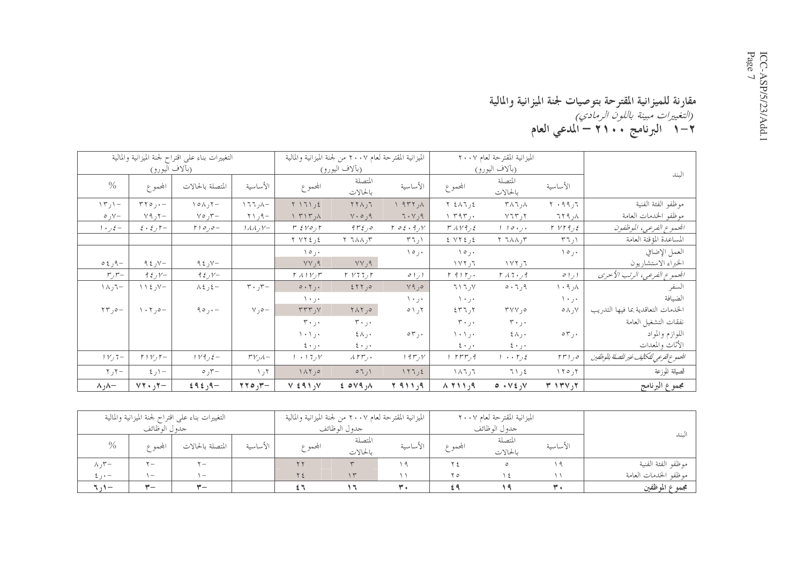### مقارنة للميزانية المقترحة بتوصيات لجنة الميزانية والمالية<br>*(التغييرات مبينة باللون الرمادي)*<br>1–1 البرنامج ، ، ( ٢ – المدعي العام

|                  |                                      | التغييرات بناء على اقتراح لجنة الميزانية والمالية |                               |                                            | الميزانية المقترحة لعام ٢٠٠٧ من لجنة الميزانية والمالية |                                 |                                  | الميزانية المقترحة لعام ٢٠٠٧          |                             |                                          |
|------------------|--------------------------------------|---------------------------------------------------|-------------------------------|--------------------------------------------|---------------------------------------------------------|---------------------------------|----------------------------------|---------------------------------------|-----------------------------|------------------------------------------|
|                  | (بآلاف اليورو)                       |                                                   |                               |                                            | (بآلاف اليورو)                                          |                                 |                                  | (بألاف اليورو)                        |                             | الىند                                    |
| $\frac{0}{0}$    | المحموع                              | المتصلة بالحالات                                  | الأساسية                      | المحموع                                    | المتصلة<br>بالحالات                                     | الأساسية                        | المحموع                          | المتصلة<br>بالحالات                   | الأساسية                    |                                          |
| $\Upsilon$ ار ۱۳ | $rr0, -$                             | $\wedge \circ \wedge \wedge \vee -$               | −∧ر ۱۲۲                       | $Y \setminus 7 \setminus 15$               | 571,7                                                   | A, 777, A                       | $Y \n\leq \Lambda \Upsilon, \xi$ | $\uparrow \wedge \uparrow$ , $\wedge$ | $Y \cdot 99,7$              | موظفو الفئة الفنية                       |
| $\circ$ ر ه      | $Y$ ۹ ,۲                             | $\forall \circ \pi -$                             | $-\rho$ <sub>(</sub> $\gamma$ | $\wedge$ $\wedge$ $\wedge$                 | $Y \cdot 0,9$                                           | $7 \cdot V$ , 9                 | ۲۹۳٫۰ ۱                          | $Y$ ٦٣٫٢                              | ۸ر ۲۲۹                      | موظفو الخدمات العامة                     |
| $1 + 2 =$        | $\epsilon \cdot \epsilon$ , $\tau -$ | $r \circ \rho -$                                  | $1\,\lambda\,\lambda$ , $V-$  | $r \leftrightarrow r \circ r$              | ەر ۶۳٤                                                  | $\Gamma$ of $\cdot$ 9, $\gamma$ | $TAV9, \xi$                      | 110.1                                 | $Y VY = f$                  | الجموع الفرعي، الموظفون                  |
|                  |                                      |                                                   |                               | $Y VY \xi$ ر کا                            | ۳ر۱۸۸ ۲                                                 | ۱ ر۲٦                           | ٤ ر٢٢٤ ٤                         | $\tau$ $\tau \wedge \wedge \tau$      | ۱ ر ۳                       | المساعدة المؤقتة العامة                  |
|                  |                                      |                                                   |                               | $\vee$ $\circ$ $\vee$                      |                                                         | $\lambda \circ \mu$             | $\lambda \circ \mu$              |                                       | ۱۰, ۱۰                      | العمل الإضافي                            |
| $-91$ و ک        | ۹٤٫۷ $-$                             | ۹٤٫۷ $-$                                          |                               | YY, 9                                      | ۹ر۷۷                                                    |                                 | $\sqrt{7}$ , $\sqrt{7}$          | $\sqrt{11}$ $\sqrt{1}$                |                             | الخبراء الاستشاريون                      |
| $r, r-$          | $92y -$                              | $92y -$                                           |                               | $Y \wedge Y$                               | Y Y 77.7                                                | ا ر ۱ ه                         | $r$ 9 $r$ $,$                    | $Y \wedge 7 \cdot y$ ۹                | ا را ه                      | الجموع الفرعي، الرتب الأحرى              |
| $\neg$ ۲ر ۱۸     | $\vee$ ر ٤ ١١                        | –≵ر≵∧                                             | $r \cdot r$ ر ۲۰              | $0.7$ ,.                                   | 557,0                                                   | Y9,0                            | 717, 7                           | ۹ر۲۰ ه                                | ۸ر۹۰۹                       | السفر                                    |
|                  |                                      |                                                   |                               | ۰۰ ر۰ ۱                                    |                                                         | ۰ر۱۰                            | ۰ ر۰ ۱                           |                                       | ۰ر۱۰                        | الضيافة                                  |
| -ەر۲۳            | $\cdot \cdot \cdot$ , $\circ -$      | $90, -$                                           | $v_0 -$                       | $\mathsf{r}\mathsf{r}\mathsf{r}\mathsf{y}$ | ٥ر ٢٨٢                                                  |                                 | 557,7                            | $\mathbf{r} \vee \vee \mathbf{r}$     | ∨ر∧ه                        | الخدمات التعاقدية بما فيها التدريب       |
|                  |                                      |                                                   |                               | $r \cdot j \cdot$                          | $r \cdot 1$ .                                           |                                 | $\mathbf{r} \cdot \mathbf{r}$    | ۰۰ر ۳۰                                |                             | نفقات التشغيل العامة                     |
|                  |                                      |                                                   |                               | ۰۰۱٫۰                                      | ミハ」・                                                    | $\circ \tau$ ,.                 | ۰۰ ر ۱۰۱                         | ∗ر∧٤                                  | ۰ر ۲۰                       | اللوازم والمواد                          |
|                  |                                      |                                                   |                               | ۰ر۰ ٤                                      | ۰۰ ز ۰                                                  |                                 | ۰۰ ر۰ ٤                          | ۰۰ ر۰ ٤                               |                             | الأثاث والمعدات                          |
| $1 VJ$ $7-$      | $r \mid v, r-$                       | $1 \vee 9$ ر 1                                    | $r v_{\mathcal{N}}$           | $1 + 17yV$                                 | $\lambda$ rr $_{\cdot}$ .                               | 19r                             | ۹ ر۲۳۳ ۱                         | ٤ ر٢ ۰۰ ١                             | $rr1$ ور                    | الجموع لفرعي للتكليف غير للتصلة بالوظفين |
| $\tau$ ر ۲       | ۱–ر ٤                                | –۳ره                                              | ۲ر ۱                          | $\Lambda$ $\uparrow$ , $\circ$             | 07,1                                                    | $\sqrt{77}$                     | ٦ ر٢٨٦                           | ٤ر ٢١                                 | 150,7                       | الصيانة للوزعة                           |
| −∧ر ∧            | $YY \cdot yY -$                      | $f$ ۹٤, ۹ +                                       | 770y                          | $V \in 91, V$                              | 204,0                                                   | ۹ ر ۹ ۱۱ ۲                      | $A$ 711,9                        | $0.1$ $\sqrt{2}$                      | $T \setminus T \setminus Y$ | مجموع البرنامج                           |

|                           |                                 | التغييرات بناء علىي اقتراح لجنة الميزانية والمالية |          |         | الميزانية المقترحة لعام ٢٠٠٧ من لجنة الميزانية والمالية |                |               | الميزانية المقترحة لعام ٢٠٠٧ |          |                      |
|---------------------------|---------------------------------|----------------------------------------------------|----------|---------|---------------------------------------------------------|----------------|---------------|------------------------------|----------|----------------------|
|                           | جدو ل الوظائف                   |                                                    |          |         | جدو ل الو ظائف                                          |                | جدو ل الوظائف |                              |          |                      |
| $\%$                      | المجمم ع                        | المتصلة بالحالات                                   | الأساسىة | المجموع | المتصلة<br>بالحالات                                     | الأساسية       | المجموع       | المتصلة<br>بالحالات          | الأساسية | الىند                |
| $\wedge$ , $\mathsf{r}-$  | $\mathbf{v} =$                  | $\mathbf{v}$                                       |          |         |                                                         | ١a             | $\forall$ 4   |                              |          | موظفو الفئة الفنية   |
| $\epsilon$ , $\epsilon$ – | $\hspace{0.1mm}-\hspace{0.1mm}$ | $\overline{\phantom{0}}$                           |          |         | $\gamma$                                                |                | ۲ ٥           |                              |          | موظفو الخدمات العامة |
| ていー                       | $ -$                            | $-$                                                |          |         |                                                         | $\mathbf{r}$ . |               |                              |          | مجموع الموظفين       |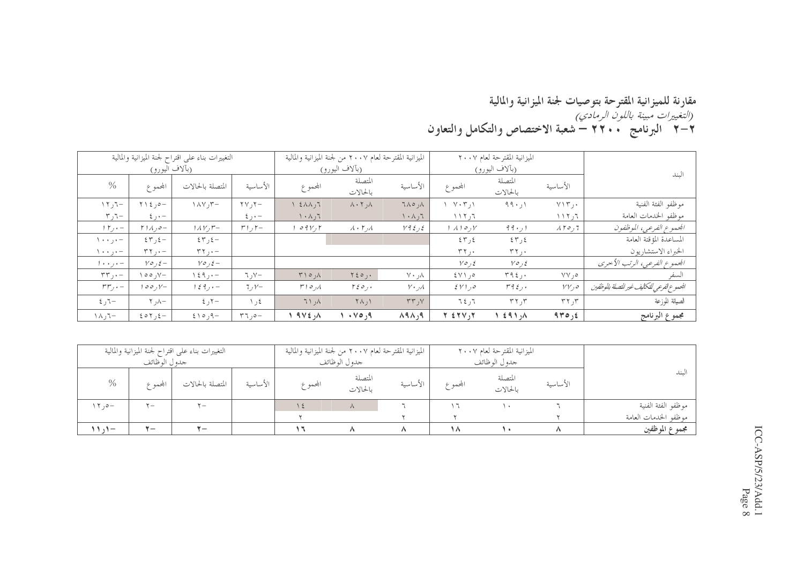#### مقارنة للميزانية المقترحة بتوصيات لجنة الميزانية والمالية ر - .<br>*(التغييرات مبينة باللون الرمادي)*<br>٢–٢ البرنامج • • ٢٢ – شعبة الاختصاص والتكامل والتعاون

|                                       |                                      | التغييرات بناء على اقتراح لجنة الميزانية والمالية |                          |                                  | الميزانية المقترحة لعام ٢٠٠٧ من لجنة الميزانية والمالية |                           |                                | الميزانية المقترحة لعام ٢٠٠٧ |                       |                                            |
|---------------------------------------|--------------------------------------|---------------------------------------------------|--------------------------|----------------------------------|---------------------------------------------------------|---------------------------|--------------------------------|------------------------------|-----------------------|--------------------------------------------|
|                                       | (بألاف اليورو)                       |                                                   |                          |                                  | (بألاف اليورو)                                          |                           |                                | (بألاف اليورو)               |                       | لىند                                       |
| $\%$                                  | المجموع                              | المتصلة بالحالات                                  | الأساسية                 | المحموع                          | المتصلة<br>بالحالات                                     | الأساسية                  | المحموع                        | المتصلة<br>بالحالات          | الأساسية              |                                            |
| $-\tau$ <sub>(</sub> $\tau$ /         | $Y \setminus \xi$ , $0 -$            | $\wedge \wedge \vee, \vee -$                      | $\tau$ $\gamma$ , $\tau$ | $\xi \wedge \wedge, \tau$        | $\lambda \cdot 7, \lambda$                              | ۸ر ۱۸۵                    | $\sqrt{2}$                     | 99.1                         | $V \setminus \tau$ ,. | موظفو الفئة الفنية                         |
| $\tau$ ر $\tau$                       | $\xi$ , $\cdot$ -                    |                                                   | $\xi$ , $\cdot$ -        | ۲ ر۸۰۸                           |                                                         | ۲۰۸٫٦                     | ٦ ر ۲ ۱ ۱                      |                              | ٦ ر ۱ ۱ ۱             | موظفو الخدمات العامة                       |
| $\gamma$ $\gamma$ , $\cdot$ -         | $\Gamma$ $1$ $\Lambda$ $, \circ$ $-$ | $1\Lambda V$ , $r-$                               | $r_1, r_-$               | $\circ$ 9 $V$ , $\uparrow$       | $\lambda \cdot \mathsf{r}_j \lambda$                    | $Y$ ر ٤ و ٧               | $\lambda$ ) $\circ$ , $\gamma$ | 99.1                         | $\lambda$ ۲0,7        | الجموع الفرعي، الموظفون                    |
| $\lambda$ + + $\lambda$ + + +         | $\S 57, \S -$                        | 57,5                                              |                          |                                  |                                                         |                           | $\S 7, \S$                     | ٤٣ ر ٤٣                      |                       | المساعدة المؤقتة العامة                    |
| $\langle \cdot \cdot \cdot , \cdot -$ | $\tau\tau, -$                        | $\tau\tau, -$                                     |                          |                                  |                                                         |                           | $\tau \tau$ ,.                 | $\tau$ ۲ ۲                   |                       | الخبراء الاستشاريون                        |
| $1 + \cdot \cdot \cdot -$             | $y \circ f =$                        | $Y \circ f =$                                     |                          |                                  |                                                         |                           | $Y \circ f$                    | $Y \circ f$                  |                       | الجموع الفرعي، الرتب الأحرى                |
| $\mathbf{r}\mathbf{r}$ , $\cdot$ -    | $\vee$ o $\circ$ $\vee$              | $\setminus$ { 9, $\cdot$ -                        | ر ٦ $V-$                 | $\uparrow \uparrow \circ \phi$   | $Y \circ \circ \cdot$                                   | $\vee \cdot \cdot \wedge$ | $2 \vee 1,0$                   | T92,                         | ۰, ۷۷                 | السفر                                      |
| $rrr, -$                              | $100, V-$                            | $1\leq 9$ , $\cdot$ -                             | $7, V-$                  | لمره ۲۱                          | $\Gamma \xi \circ f$ .                                  | $V \cdot \mathcal{A}$     | $\S V1$ , $\circ$              | $r \nmid \xi$ , .            | $VV_1$ 0              | الجمموع الفرعي للتكايف غير للتصلة بالوظفين |
| $5 - 7$                               | $-\wedge, \wedge$                    | 5, 7                                              | ٤ ر ١                    | $\lambda$ <sub>t</sub> $\lambda$ | $\uparrow \wedge$ , $\uparrow$                          | YY, Y                     | ٦٤٫٦                           | $\tau$ ر ۲۲                  | $\tau$ ر ۲۲           | الصيانة للوزعة                             |
| $-\tau, \lambda$ /                    | $20Y, 2-$                            | $5 \backslash 0, 9 -$                             | $\mathbf{r}$ , $\circ$ - | $9V\xi, \Lambda$                 | $\cdot \vee \circ \cdot 9$                              | A9A,9                     | $Y \leq YV, Y$                 | 291,                         | 940,5                 | مجموع البرنامج                             |

|                                  | جدو ل الوظائف | التغييرات بناء على اقتراح لجنة الميزانية والمالية |          |         | الميزانية المقترحة لعام ٢٠٠٧ من لجنة الميزانية والمالية<br>جدو ل الوظائف |          |         | الميزانية المقترحة لعام ٢٠٠٧<br>جدو ل الو ظائف |          |                      |
|----------------------------------|---------------|---------------------------------------------------|----------|---------|--------------------------------------------------------------------------|----------|---------|------------------------------------------------|----------|----------------------|
| $\%$                             | البحمه ع      | المتصلة بالحالات                                  | الأساسية | المحموع | المتصلة<br>بالحالات                                                      | الأساسية | المحموع | المتصلة<br>بالحالات                            | الأساسية | لىند                 |
| $\wedge \wedge$ , $o-$           | $-$           | $\mathbf{y}$                                      |          |         | $\wedge$                                                                 |          | . H     |                                                |          | موظفو الفئة الفنية   |
|                                  |               |                                                   |          |         |                                                                          |          |         |                                                |          | موظفو الخدمات العامة |
| $\mathbf{11} \cdot \mathbf{1} -$ | $\mathbf{v}$  | $\mathbf{y} =$                                    |          |         |                                                                          |          | ۱۸      |                                                |          | مجموع الموظفين       |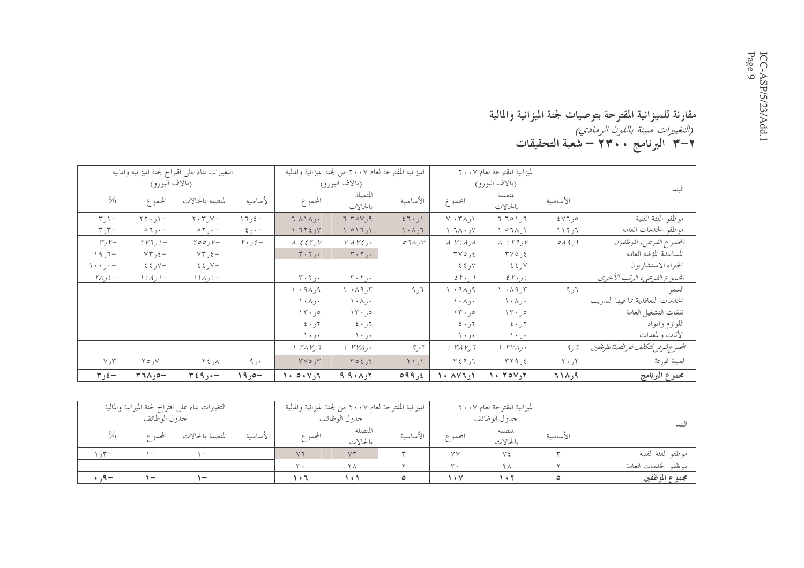#### مقارنة للميزانية المقترحة بتوصيات لجنة الميزانية والمالية<br>*(التغييرات مبينة باللون الرمادي)*<br>٣–٣ البرنامج ٢٣٠٠ – شعبة التحقيقات

|                                             |                                                | التغييرات بناء على اقتراح لجنة الميزانية والمالية |                               |                                                           | الميزانية المقترحة لعام ٢٠٠٧ من لجنة الميزانية والمالية      |                   |                                   | الميزانية المقترحة لعام ٢٠٠٧          |                                 |                                            |
|---------------------------------------------|------------------------------------------------|---------------------------------------------------|-------------------------------|-----------------------------------------------------------|--------------------------------------------------------------|-------------------|-----------------------------------|---------------------------------------|---------------------------------|--------------------------------------------|
|                                             | (بألاف اليورو)                                 |                                                   |                               |                                                           | (بآلاف اليورو)                                               |                   |                                   | (بألاف اليورو)                        |                                 | الىند                                      |
| $\frac{0}{0}$                               | المحموع                                        | المتصلة بالحالات                                  | الأساسية                      | المحموع                                                   | المتصلة<br>بالحالات                                          | الأساسية          | المحموع                           | المتصلة<br>بالحالات                   | الأساسية                        |                                            |
| $\mathbf{r}$ , $\mathbf{r}$                 | $-1$ ر ۲۲۰ $-$                                 | $\mathbf{Y} \cdot \mathbf{Y}$ ر ۲۰                | 17,5                          | $7 \wedge 1 \wedge $                                      | 770                                                          | 57.1              | $V \cdot T \wedge, V$             | ۲ ر۱ ۱۵ تا                            | 5Y7,0                           | موظفو الفئة الفنية                         |
| $r_{J}r-$                                   | $\circ \tau, -$                                | $\circ \gamma$ , $\cdot$ -                        | $\xi$ رځ                      | V, 377                                                    | $\left( \begin{array}{c} 0 & 1 \\ 0 & 1 \end{array} \right)$ | ۲۰۸٫۶             | $V, \lambda \cdot \lambda V$      | ۱, ۱۵۲۸ ۱                             | ٦ ر ۲ ۱ ۱                       | موظفو الخدمات العامة                       |
| $r, r-$                                     | $\Gamma V$ $I$ <sub><math>J</math></sub> $I -$ | $\Gamma \circ \circ \rho V -$                     | $\mathbf{r} \cdot \mathbf{r}$ | $\lambda$ $\epsilon$ $\epsilon$ $\Gamma$ <sub>J</sub> $V$ | $V$ $\Lambda$ $V$ $\mathcal{E}$ $\mathcal{E}$ $\mathcal{E}$  | $07\lambda$ , $V$ | $\lambda$ $V$ $\lambda$ $\lambda$ | $\lambda$ $\mu$ <sub>7</sub> $\gamma$ | 0 <sub>A</sub> 9 <sub>J</sub> 1 | الجموع الفرعي، الموظفون                    |
| -٦ر١٩                                       | $YY, \xi -$                                    | $YY, \xi -$                                       |                               | $T \cdot T$                                               | $T \cdot T$                                                  |                   | $\mathbf{y} \circ \mathbf{y}$     | $\forall \forall \circ \xi$           |                                 | المساعدة المؤقتة العامة                    |
| $\setminus \cdot \cdot \cdot$ ) $\cdot$ -   | ر ٤٤                                           | −∨ر ٤٤                                            |                               |                                                           |                                                              |                   | $22 \times 1$                     | ∀ر ٤٤                                 |                                 | الخبراء الاستشاريون                        |
| $\uparrow$ $\wedge$ $\downarrow$ $\uparrow$ | $11\lambda$ $1-$                               | $11\lambda_21-$                                   |                               | $\mathbf{r} \cdot \mathbf{r}$ ر ۲                         | $\mathbf{r} \cdot \mathbf{r}$ ,.                             |                   | $5.5 + 1$                         | $5.5 \cdot 1$                         |                                 | الجموع الفرعي، الرتب الأخرى                |
|                                             |                                                |                                                   |                               | ۹ر۹۸ ۱                                                    | $\lambda \cdot \lambda$ ۹, ۳                                 | ٦ ر ۹             | 9.41, 9.                          | $\Lambda$ $\Lambda$ ر ۱ $\mu$         | ٦ ر ۹                           | السفر                                      |
|                                             |                                                |                                                   |                               | $\wedge \cdot \wedge \cdot \cdot$                         | $\lambda$ + $\lambda$ , +                                    |                   | $\wedge \cdot \wedge \cdot \cdot$ | $\wedge \cdot \wedge \cdot \cdot$     |                                 | الخدمات التعاقدية بما فيها التدريب         |
|                                             |                                                |                                                   |                               | 15.0                                                      | 15.0                                                         |                   | $\Upsilon$ , $\circ$              | $\Upsilon$ , $\circ$                  |                                 | نفقات التشغيل العامة                       |
|                                             |                                                |                                                   |                               | $5 \cdot 7$                                               | $\mathbf{y} \cdot \mathbf{y}$ ۲                              |                   | ۲ر ۶۰                             | ۲ر ۶۰                                 |                                 | اللوازم والمواد                            |
|                                             |                                                |                                                   |                               | ۱۰٫۰                                                      | ۰۰ ر ۱۰                                                      |                   | ۰ر۱۰                              | ۰ر ۱۰                                 |                                 | الأثاث والمعدات                            |
|                                             |                                                |                                                   |                               | 1 TAV,7                                                   | $1 TVA$ ,                                                    | 7 ر 9             | $\mathcal{M} \mathcal{N}$         | $1 TVA$ ,                             | 9,7                             | الجموع الفرعي للتكاليف غير للتصلة بالوظفين |
| Y, Y                                        | $Y \circ Y$                                    | $\lambda_{\rm t}$ } $\lambda$                     | ۰ر۹                           | $\Gamma \vee \circ \cdot, \Gamma$                         | T O 2, 1                                                     | $\uparrow$ \,\    | ۳ ژ ۳ ٤ ۳                         | TT9,5                                 | $\mathbf{Y} \cdot \mathbf{y}$   | الصيانة للوزعة                             |
| $\forall$ ر $\forall$                       | $T1A,0-$                                       | $T \xi$ ٩,٠-                                      | $19,0-$                       | 1.0.17                                                    | $9.9 \cdot \wedge 17$                                        | 099, 2            | 1.444,1                           | $\lambda$ + $\delta$ + $\delta$       | ۹ر۱۸ ۲                          | مجموع البرنامج                             |

|                      |          | الميزانية المقترحة لعام ٢٠٠٧ |               |          | الميزانية المقترحة لعام ٢٠٠٧ من لجنة الميزانية والمالية |                |          | التغييرات بناء علىي اقتراح لجنة الميزانية والمالية |                          |                |
|----------------------|----------|------------------------------|---------------|----------|---------------------------------------------------------|----------------|----------|----------------------------------------------------|--------------------------|----------------|
|                      |          | جدو ل الو ظائف               |               |          | جدو ل الو ظائف                                          |                |          |                                                    | جدو ل الوظائف            |                |
| لىند                 |          | المتصلة                      |               |          | المتصلة                                                 |                | الأساسية |                                                    |                          | $\%$           |
|                      | الأساسية | بالحالات                     | المجموع       | الأساسية | بالحالات                                                | المجموع        |          | المتصلة بالحالات                                   | بحمه ۶                   |                |
| موظفو الفئة الفنية   |          | $\sqrt{5}$                   | VV            |          | VT                                                      | V <sub>7</sub> |          | $\mathbf{v}$                                       | $\overline{\phantom{a}}$ | $\mathcal{F}-$ |
| موظفو الحدمات العامة |          | Y A                          | $\mathcal{R}$ |          | ۲۸                                                      | $\mathbf{r}$ . |          |                                                    |                          |                |
| مجموع الموظفين       |          |                              | $\cdot$ V     |          |                                                         | ۱۰۶            |          | $-$                                                | $\overline{\phantom{0}}$ | $\cdots$       |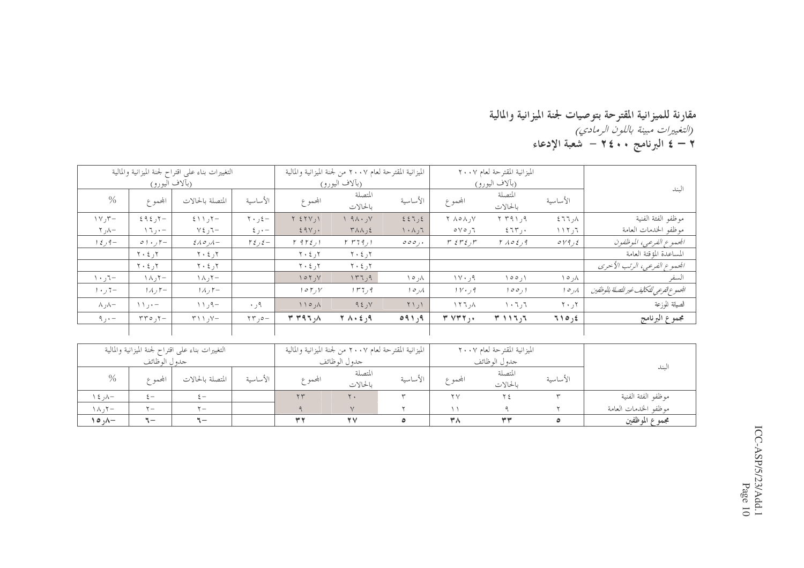#### مقارنة للميزانية المقترحة بتوصيات لجنة الميزانية والمالية<br>*(التغييرات مبينة باللون الرمادي)*<br>٢ – ٤ البرنامج ٢٤٠٠ – شعبة الإدعاء

|                                           |                               | الميزانية المقترحة لعام ٢٠٠٧                    |                                         |                                                 | الميزانية المقترحة لعام ٢٠٠٧ من لجنة الميزانية والمالية |                              |                                 | التغييرات بناء على اقتراح لجنة الميزانية والمالية |                               |                           |
|-------------------------------------------|-------------------------------|-------------------------------------------------|-----------------------------------------|-------------------------------------------------|---------------------------------------------------------|------------------------------|---------------------------------|---------------------------------------------------|-------------------------------|---------------------------|
| البند                                     |                               | (بآلاف اليورو)                                  |                                         |                                                 | (بآلاف اليورو)                                          |                              |                                 |                                                   | (بألاف اليورو)                |                           |
|                                           | الأساسية                      | المتصلة<br>بالحالات                             | المحموع                                 | الأساسية                                        | المتصلة<br>بالحالات                                     | المحموع                      | الأساسية                        | المتصلة بالحالات                                  | المحموع                       | $\frac{0}{0}$             |
| موظفو الفئة الفنية                        | ∖ر۲٦ ٤                        | ۹ ر۱ ۳۹ ۲                                       | $Y \wedge \circ \wedge \vee Y$          | 227,2                                           | $\vee$ ۹۸۰ $\vee$                                       | $Y \Sigma Y$                 | $\mathbf{y} \cdot \mathbf{y} =$ | $5 \setminus 7 -$                                 | $595 -$                       | $\gamma \vee \gamma$ ر ۱۷ |
| موظفو الخدمات العامة                      | ٢ ر ٢ ١ ١                     | ٤٦٣٫٠                                           | $0 \vee 0$ , $7$                        | $\mathcal{L}_{\mathcal{L}} \wedge \cdot \wedge$ | $Y \wedge \wedge$ , {                                   | $29V$ .                      | – • ر ٤                         | $\nabla \xi$ ر کا                                 | $\setminus \setminus \cdot -$ | $\tau$ ر ۲                |
| الجموع الفرعي، الموظفون                   | $\circ$ $\gamma$ و $\epsilon$ | $\Gamma$ $\Lambda$ $\circ$ $\epsilon$ $\eta$    | $r \leftrightarrow r \leftrightarrow r$ | 000,                                            | $r$ $r$ $r$ $r$ $r$ $r$ $r$                             | $\Gamma$ 9 $\Gamma$ $\xi$ )  | $\Gamma \xi$ ر 12               | $\mathcal{E} \wedge \mathcal{O}$                  | $0.1 \cdot 7 -$               | $1 \xi$ ر 1 $4-$          |
| المساعدة المؤقتة العامة                   |                               |                                                 |                                         |                                                 | ۲ر ۲۰ ۲                                                 | $Y \cdot \xi$ ر کا           |                                 | $\mathbf{y} \cdot \mathbf{z}$ ر ٤                 | $Y \cdot \xi$                 |                           |
| الجموع الفرعي، الرتب الأخرى               |                               |                                                 |                                         |                                                 | ۲ر ۲۰ ۲                                                 | $Y \cdot \xi$ ر کا           |                                 | $Y \cdot \xi$ ر کا                                | $Y \cdot \xi$ ر کا            |                           |
| السفر                                     | ۸ر ۱۵                         | ۱ ر ۵ ۵ ۱                                       | ۹ر۱۷۰                                   | ۸ر ۱۰                                           | ۹ر٢٦١                                                   | $\gamma \circ \gamma$ ر ۲    |                                 | −۲ر∧۱                                             | ۲۰ ر ۱۸                       | $\cdot$ - $\cdot$ /       |
| الجموع لفرعي للتكاليف غير للتصلة بالوظفين | ۸ ره ۱                        | 100, 1                                          | $1 \vee \cdot 79$                       | ۸ ر ۱ د                                         | ۹ ر ۲ ۳ ۱                                               | 105, V                       |                                 | $1\Lambda$ , $\mathsf{r}-$                        | $1\land$ , $\uparrow$         | $1 + 7 =$                 |
| الصيانة للوزعة                            | $\mathbf{Y} \cdot \mathbf{y}$ | $\mathcal{N} \cdot \mathcal{N}$ ، $\mathcal{N}$ | ۸ ر ۲ ۲ ۱                               | $\Upsilon$                                      | 95, y                                                   | $\wedge \wedge \circ \wedge$ | $\cdot$ , م                     | ۹–۹ر ۱۱                                           | $\setminus \setminus \cdot -$ | −∧ر∧                      |
| مجموع البرنامج                            | ٤ ره ٢١                       | $T \cup T$                                      | T V T T                                 | ۹ر ۵۹۱                                          | ۹ر ٤ ۸۰ ۲                                               | Y Y 9 7.0                    | $\tau$ ور $\tau$                | $\gamma \wedge \gamma$ ر ۱                        | $\tau\tau\circ\tau$ ره        | $\alpha$ ر ۹              |
|                                           |                               |                                                 |                                         |                                                 |                                                         |                              |                                 |                                                   |                               |                           |
|                                           |                               | الميزانية المقترحة لعام ٢٠٠٧                    |                                         |                                                 | الميزانية المقترحة لعام ٢٠٠٧ من لجنة الميزانية والمالية |                              |                                 | التغييرات بناء على اقتراح لجنة الميزانية والمالية |                               |                           |
|                                           |                               | جدول الوظائف                                    |                                         |                                                 | جدول الوظائف                                            |                              |                                 |                                                   | جدول الوظائف                  |                           |
| البند                                     | الأساسية                      | المتصلة<br>بالحالات                             | المجموع                                 | الأساسية                                        | المتصلة<br>بالحالات                                     | المحموع                      | الأساسية                        | المتصلة بالحالات                                  | المحموع                       | $\frac{0}{0}$             |
| موظفو الفئة الفنية                        | $\mathbf{r}$                  | ع ۲                                             | $\mathbf{y}$                            | $\mathbf{r}$                                    | $\Upsilon$ .                                            | $\tau$                       |                                 | $\xi -$                                           | $\xi -$                       | –∧ر ٤ ۱                   |
| موظفو الخدمات العامة                      |                               | ٩                                               | $\setminus$                             | ۲                                               | $\vee$                                                  | ٩                            |                                 | $\mathbf{y}$                                      | $\mathbf{y}$                  | −۲ر∧۱                     |
| مجموع الموظفين                            | ٥                             | $\tau\tau$                                      | ۳۸                                      | ٥                                               | $\mathbf{v}$                                            | Y'                           |                                 | $\mathcal{L}$                                     | $\mathbb{I}-$                 | $\land \circ \land -$     |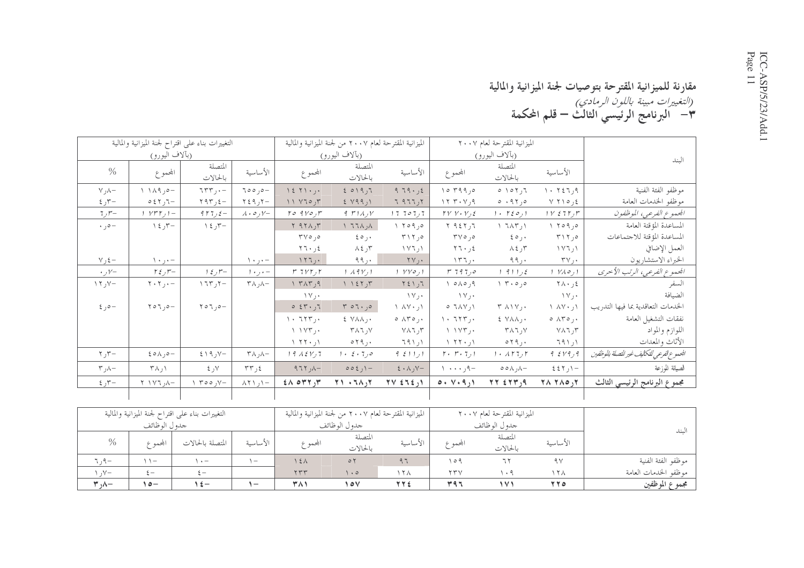#### مقارنة للميزانية المقترحة بتوصيات لجنة الميزانية والمالية ر*التغييرات مبينة باللون الرمادي)*<br>(*التغييرات مبينة باللون الرمادي)*<br>٣– البرنامج الرئيسي الثالث — قلم المحكمة

|                                | التغييرات بناء على اقتراح لجنة الميزانية والمالية |                                   |                                  |                                              | الميزانية المقترحة لعام ٢٠٠٧ من لجنة الميزانية والمالية |                                            |                                                 | الميزانية المقترحة لعام ٢٠٠٧                   |                                      |                                             |
|--------------------------------|---------------------------------------------------|-----------------------------------|----------------------------------|----------------------------------------------|---------------------------------------------------------|--------------------------------------------|-------------------------------------------------|------------------------------------------------|--------------------------------------|---------------------------------------------|
|                                | (بآلاف اليورو)                                    |                                   |                                  |                                              | (بآلاف اليو <u>رو)</u>                                  |                                            |                                                 | (بآلاف اليورو)                                 |                                      | الىند                                       |
| $\%$                           | المحموع                                           | المتصلة<br>بالحالات               | الأساسية                         | المحموع                                      | المتصلة<br>بالحالات                                     | الأساسية                                   | المحموع                                         | المتصلة<br>بالحالات                            | الأساسية                             |                                             |
| $\vee$ , $\wedge$ -            | $1111.0 -$                                        | $755 - 157$                       | $700,0-$                         | 1271.                                        | 2019,7                                                  | 979.52                                     | 10490                                           | $0 \setminus 0 \setminus 7$                    | $\setminus \cdot \top 27,9$          | موظفو الفئة الفنية                          |
| $5 - 7$                        | $057,7 -$                                         | $Y9Y, \xi -$                      | $\tau \xi$ ٩,٢                   | 11 Y70y7                                     | 5 Y99,1                                                 | 7977,7                                     | $Y, Y, Y, \varphi$                              | 0.950                                          | ٤ ر٥ ۲۱ ۷                            | موظفو الخدمات العامة                        |
| $7, r-$                        | $VFT_J$ ) –                                       | $97772 -$                         | $\lambda \cdot \circ \cdot \vee$ | $ro$ $9vo$ , $r$                             | 9.711                                                   | 1770777                                    | $\Gamma V V \cdot V_{J} \xi$                    | 1.7201                                         | 1 V 271 T                            | الجموع الفرعي، الموظفون                     |
| $\cdot$ , $\circ$ -            | ر ٤ ١                                             | ر ٤ ١                             |                                  | $Y$ $9Y$ $N$ , $Y$                           | $\wedge$ , $\wedge$ $\vdash$ $\wedge$                   | 1.709,0                                    | T 957,7                                         | $\lambda$ $7\lambda$ r, $\lambda$              | 1.709,0                              | المساعدة المؤقتة العامة                     |
|                                |                                                   |                                   |                                  | $\mathbf{r} \vee \mathbf{0}$ , $\mathbf{0}$  | $\epsilon \circ \cdot$                                  | $T \setminus T, o$                         | $\mathbf{r} \vee \mathbf{0}$ , $\mathbf{0}$     | $\epsilon \circ \cdot$                         | $T \setminus T, o$                   | المساعدة المؤقتة للاجتماعات                 |
|                                |                                                   |                                   |                                  | $Y$ ٦۰,٤                                     | $\lambda$ 7 ر $\zeta$                                   | ۱ ر ۱ ۷ تا                                 | $57 \cdot 12$                                   | $\lambda$ 7 ر $\tau$                           | ۱ ر ۲ ۷ ۱                            | العمل الإضافي                               |
| $V, \xi -$                     | – • ر • ۱                                         |                                   | $\cdot$ ر۱۰                      | 157.                                         | ۹۹,۰                                                    | $\mathbf{Y} \vee \mathbf{Y}$               | $\Upsilon$                                      | ۰ ر ۹۹                                         | $\tau$ $\vee$ $\cdot$                | الخبراء الاستشاريون                         |
| $\cdot$ ر $V-$                 | $r \xi$ ر مح                                      | $1 \xi$ ر $\zeta$ 1               | – • ر • ۱                        | $r \tau v r$ , $r$                           | 1.49Y, 1                                                | $YY \circ f$                               | $r$ 797,0                                       | $1$ 9 $1$ $1$ $2$                              | ا ره ۱۷ ا                            | الجموع الفرعي، الرتب الأحرى                 |
| $\gamma$ <sub>i</sub> $\gamma$ | $\mathbf{Y} \cdot \mathbf{Y}$ , $\cdot$ -         | $\gamma$ $\gamma$                 | $\uparrow \wedge$ , $\wedge -$   | $\gamma$ $\gamma$ $\gamma$                   | 1.151, 7                                                | $Y \xi$ \ , $T$                            | 10A0,9                                          | ٥ره ۳۰ ۱                                       | $Y \wedge \cdot \cdot 25$            | السفر                                       |
|                                |                                                   |                                   |                                  | $\Upsilon$                                   |                                                         | $\Upsilon$                                 | $\Upsilon$ $\Upsilon$                           |                                                | ۰ ر۱۷                                | الضيافة                                     |
| $2,0-$                         | $\gamma \circ \gamma$ , $\circ -$                 | $\gamma \circ \gamma$ , $\circ -$ |                                  | 0.51                                         | $r \circ 1 \cdot 1$                                     | $\wedge$ $\wedge$ $\vee$ $\wedge$ $\wedge$ | 0.7AY,1                                         | $\Upsilon$ $\wedge$ $\vee$ $\cdots$            | ۱ ر۰ ۸۷۰                             | الحندمات التعاقدية بما فيها التدريب         |
|                                |                                                   |                                   |                                  | $\langle \cdot, \tau \rangle$                | $\epsilon$ $\forall$ $\wedge$ $\wedge$ ,.               | $0$ $\wedge$ $\uparrow$ $0$ $\wedge$       | $\langle \cdot, \tau \rangle$                   | $\epsilon$ $\forall$ $\wedge \wedge$ , $\cdot$ | $0$ $\wedge$ $\uparrow$ $0$ $\wedge$ | نفقات التشغيل العامة                        |
|                                |                                                   |                                   |                                  | $\setminus \setminus \setminus \Upsilon$ ,.  | ۷ر ۲۸۶                                                  | $Y \wedge 7, 7$                            | $\setminus \setminus \setminus \setminus \cdot$ | $Y \wedge 7, Y$                                | $Y \wedge 7, 7$                      | اللوازم والمواد                             |
|                                |                                                   |                                   |                                  | $1.77 \cdot 1$                               | ۰ ر۲۹ ه                                                 | ار ۱۹۱                                     | $\setminus$ ۲۲۰٫۱                               | $\circ$ $\mathsf{Y}$ ٩, $\cdot$                | ارا1۹                                | الأثاث والمعدات                             |
| $\tau$ ر $\tau$                | $\epsilon \circ \wedge, \circ -$                  | $519, y -$                        | $\uparrow \wedge$ , $\wedge -$   | $19A\S Y,7$                                  | $1 \cdot 2 \cdot 7$ , 0                                 | 95111                                      | $\Gamma$ . $\Gamma$ . $\tau$ , $\gamma$         | 1.1177                                         | 9519,9                               | الجموع الفرعي للتكاليف غير للتصلة بالموظفين |
| $\tau$ , $\lambda-$            | $\uparrow \wedge$ ۱                               | $\lambda$ ر کا                    | ٤ ر ٣٣                           | $ \wedge$ , $\Upsilon$                       | $002)$ -                                                | $\xi \cdot \Lambda$ , $Y -$                | $\cdots$ , $\uparrow$                           | $\circ \circ \wedge \wedge -$                  | $557/1 -$                            | الصيانة للوزعة                              |
| $5 - 7$                        | $-\lambda$ , $\Gamma V$ / $\gamma$                | $\gamma$ , $\circ \circ \gamma$   | $\wedge$ ۲۱ ر $\wedge$ ۲۸        | $2 \wedge \circ \Upsilon \Upsilon, \Upsilon$ | $Y \setminus \neg \wedge \neg \wedge \neg \wedge$       | $\gamma$ { $\zeta$ { $\zeta$ } $\gamma$    | $0. \vee .9)$                                   | $YY \leq YY, 9$                                | $Y \wedge Y \wedge Q$                | مجموع البرنامج الرئيسي الثالث               |
|                                |                                                   |                                   |                                  |                                              |                                                         |                                            |                                                 |                                                |                                      |                                             |

|                      |                | التغييرات بناء علىي اقتراح لجنة الميزانية والمالية |                          |         | الميزانية المقترحة لعام ٢٠٠٧ من لجنة الميزانية والمالية |                   |                        | الميزانية المقترحة لعام ٢٠٠٧ |                |                      |
|----------------------|----------------|----------------------------------------------------|--------------------------|---------|---------------------------------------------------------|-------------------|------------------------|------------------------------|----------------|----------------------|
|                      | جدو ل الو ظائف |                                                    |                          |         | جدو ل الو ظائف                                          |                   |                        | جدو ل الو ظائف               |                | لىند                 |
| $\%$                 | ابحمه ع        | المتصلة بالحالات                                   | الأساسية                 | المحموع | المتصلة<br>بالحالات                                     | الأساسية          | المجممه ع              | المتصلة<br>بالحالات          | الأساسية       |                      |
| $7.9-$               | $\sqrt{ }$     | $\cdot$ $-$                                        | $-$                      | しえん     | $\circ$                                                 | 97                | ۹ ۱ م                  |                              | 9 <sub>V</sub> | موظفو الفئة الفنية   |
| $\mathcal{N}-$       | $\zeta =$      | $\zeta =$                                          |                          | 555     | $\cdot$ 0                                               | $\wedge$ $\wedge$ | $\gamma \gamma \gamma$ | $\cdot$ $^{\circ}$           | ۱۲۸            | موظفو الحدمات العامة |
| $\forall$ , $\wedge$ | –ه ۱           | $\epsilon$ –                                       | $\overline{\phantom{0}}$ | ۳۸۱     | 10V                                                     | <b>TTE</b>        | ۳۹٦                    | ۱۷۱                          | 770            | مجموع الموظفين       |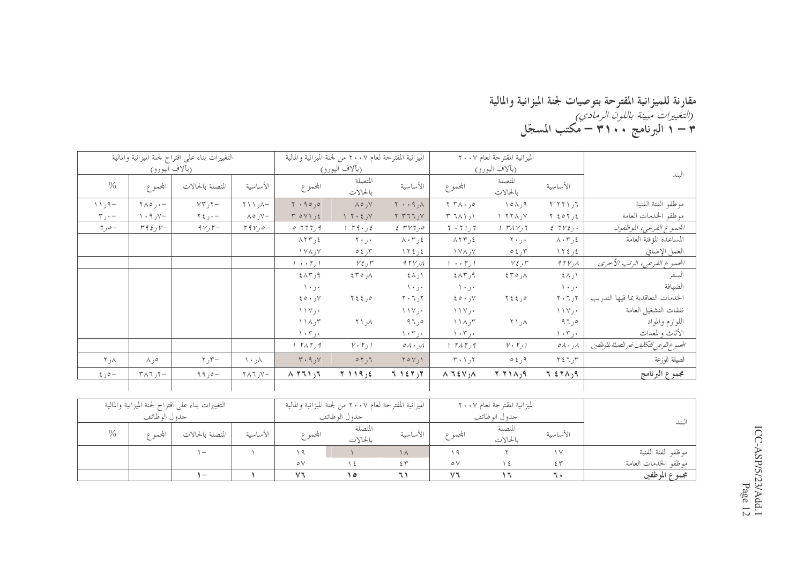### مقارنة للميزانية المقترحة بتوصيات لجنة الميزانية والمالية<br>*(التغييرات مبينة باللون الرمادي)*<br>٣ – ١ البرنامج ٣١٠٠ – مكتب المسجّل

|                            |                                             | التغييرات بناء على اقتراح لجنة الميزانية والمالية |                                           |                                            | الميزانية المقترحة لعام ٢٠٠٧ من لجنة الميزانية والمالية |                                              |                                                    | الميزانية المقترحة لعام ٢٠٠٧ |                                      |                                            |
|----------------------------|---------------------------------------------|---------------------------------------------------|-------------------------------------------|--------------------------------------------|---------------------------------------------------------|----------------------------------------------|----------------------------------------------------|------------------------------|--------------------------------------|--------------------------------------------|
|                            | (بألاف اليورو)                              |                                                   |                                           |                                            | (بألاف اليورو)                                          |                                              |                                                    | (بآلاف اليورو)               |                                      | الىند                                      |
| $\frac{0}{6}$              | المحموع                                     | المتصلة بالحالات                                  | الأساسية                                  | المحموع                                    | المتصلة<br>بالحالات                                     | الأساسية                                     | المجموع                                            | المتصلة<br>بالحالات          | الأساسية                             |                                            |
| $\wedge \wedge$ , $\wedge$ | $\forall \lambda \circ \theta$ , $\theta -$ | $YY^*$ ر ۲۳                                       | $-\lambda_1$ / / 7                        | $\mathbf{Y}$ . 90,0                        | ۷ر ه۸                                                   | $\wedge, \wedge, \wedge$                     | ۰٫۰ ۲                                              | 10A,9                        | 575177                               | موظفو الفئة الفنية                         |
| $r_{j}$ ۰ –                | $\vee$ ر ۹ $\vee$                           | $\gamma$ ز کا                                     | –∨ر ہ∧                                    | $Y O Y \leq t$                             | $Y \cdot \xi, Y$                                        | Y Y 11.                                      | $\uparrow$ $\uparrow \wedge \uparrow$ , $\uparrow$ | $V, \lambda Y$               | ٤ ر٢٥٢ ٢                             | موظفو الخدمات العامة                       |
| $7,0-$                     | $r \notin \mathcal{L}$ , $V-$               | $9V, 7-$                                          | $19Y,0-$                                  | 0.777,9                                    | $1 \cdot 79 \cdot 75$                                   | $2.5$ $\mu$                                  | $7+71,7$                                           | 1 TAV,7                      | 2712.1                               | الجموع الفرعي، الموظفون                    |
|                            |                                             |                                                   |                                           | $\lambda$ $\Upsilon$ $\Upsilon$ , $\zeta$  | ۰ر ۲۰                                                   | $\lambda \cdot \tau$ , $\epsilon$            | $\Lambda \Upsilon \Upsilon$ , {                    | ۰ر۲۰                         | $\lambda \cdot 7$ ر ۲                | المساعدة المؤقتة العامة                    |
|                            |                                             |                                                   |                                           | $\forall \lambda, \forall$                 | ۳ر ٤ ٥                                                  | ٤ ر ٢٤ ١                                     | $\forall \lambda, \forall$                         | ۳ر ٤ ٥                       | ٤ ر٤ ١٢                              | العمل الإضافي                              |
|                            |                                             |                                                   |                                           | $1 \cdot \cdot \cdot 7$                    | $V\xi, \mathcal{F}$                                     | $4\, \mathrm{rV}$ , $\Lambda$                | $1 \cdot \cdot \cdot \cdot 1$                      | $V \xi$ , $\mu$              | $4$ $\uparrow$ $\vee$ $\wedge$       | المحموع الفرعي، الرتب الأحرى               |
|                            |                                             |                                                   |                                           | $2\Lambda$ ۳,۹                             | $\S 70, \Lambda$                                        | ∖ر∧٤                                         | ۹ر۸۳ ±                                             | ∧ره۳۶                        | ∖ر∧٤                                 | السفر                                      |
|                            |                                             |                                                   |                                           | ۱۰٫۰                                       |                                                         | ۰۰ ر ۱۰                                      | ۰۰ ز. ۱                                            |                              | ٠٠ر٠١                                | الضيافة                                    |
|                            |                                             |                                                   |                                           | $\mathcal{L} \circ \cdot \cdot \cdot \vee$ | 7220                                                    | $\mathbf{Y} \cdot \mathbf{Y}$ ، $\mathbf{Y}$ | $2 \circ \cdot y$                                  | 7220                         | $Y \cdot 7$ ر                        | الخدمات التعاقدية بما فيها التدريب         |
|                            |                                             |                                                   |                                           | ۰ر۱۱۷                                      |                                                         | $\setminus \setminus \vee$ ,                 | $\setminus \setminus \vee$ ,                       |                              | $\setminus \setminus \vee$ , $\cdot$ | نفقات التشغيل العامة                       |
|                            |                                             |                                                   |                                           | $\wedge \wedge \wedge \wedge$              | $\lambda$ <sub>t</sub> $\lambda$                        | ەر ۹٦                                        | $\wedge \wedge \wedge \wedge$                      | ۸ر ۲۱                        | ەر٩٦                                 | اللوازم والمواد                            |
|                            |                                             |                                                   |                                           | $\langle \cdot, \tau \rangle$ .            |                                                         | ۰۰۳ (                                        | $\langle \cdot, \tau \rangle$                      |                              | $\langle \cdot, \tau \rangle$ .      | الأثاث والمعدات                            |
|                            |                                             |                                                   |                                           | 1 TAT.9                                    | $V \cdot \Gamma$                                        | $\circ \wedge \cdot \wedge \wedge$           | 1 TAT.9                                            | $V \cdot \Gamma$             | ۸ر ۰ ۸ ه                             | الجموع الفرعي للتكاليف غير للتصلة بالوظفين |
| ۸ر ۲                       | ۰۵ ۸                                        | $r_{\rm J}$ ر ۲                                   | ۸۰ ۱۰                                     | $Y \cdot 9.$                               | 57,7                                                    | $\gamma \circ \gamma$ ,                      | $T \cdot 1.7$                                      | $0 \xi$ , $9$                | ۳ر ۲ ٤ ۲                             | الصيانة للوزعة                             |
| $20 - 6$                   | $\tau \wedge \tau$ , $\tau -$               | $99,0-$                                           | $\forall \lambda \forall \lambda \forall$ | $\lambda$ 771)                             | ٤ ر١١٩ ٢                                                | $T \rightarrow \epsilon T$                   | $\wedge$ 7 ٤٧ $\wedge$                             | $P(A \mid Y)$                | 7.57A                                | مجموع البرنامج                             |
|                            |                                             |                                                   |                                           |                                            |                                                         |                                              |                                                    |                              |                                      |                                            |

|                      |          | الميزانية المقترحة لعام ٢٠٠٧ |              |          | الميزانية المقترحة لعام ٢٠٠٧ من لجنة الميزانية والمالية |              |          | التغييرات بناء على اقتراح لجنة الميزانية والمالية |               |      |
|----------------------|----------|------------------------------|--------------|----------|---------------------------------------------------------|--------------|----------|---------------------------------------------------|---------------|------|
|                      |          | جدو ل الو ظائف               |              |          | جدو ل الو ظائف                                          |              |          |                                                   | جدو ل الوظائف |      |
| ىسە                  | الأساسية | المتصلة                      | المجممه ع    | الأساسية | المتصلة                                                 | المجمم ع     | الأساسية | المتصلة بالحالات                                  |               | $\%$ |
|                      |          | بالحالات                     |              |          | بالحالات                                                |              |          |                                                   | المجممو ع     |      |
| موظفو الفئة الفنية   | $\vee$   |                              |              | ۱۸       |                                                         |              |          | $\overline{\phantom{0}}$                          |               |      |
| موظفو الخدمات العامة | ٤٣       |                              | $\circ \vee$ | س ۽      |                                                         | $\circ \vee$ |          |                                                   |               |      |
| مجموع الموظفين       |          |                              | $\sqrt{4}$   |          | $\circ$                                                 | $\vee$       |          | ı —                                               |               |      |

ICC-ASP/5/23/Add.1<br>Page 12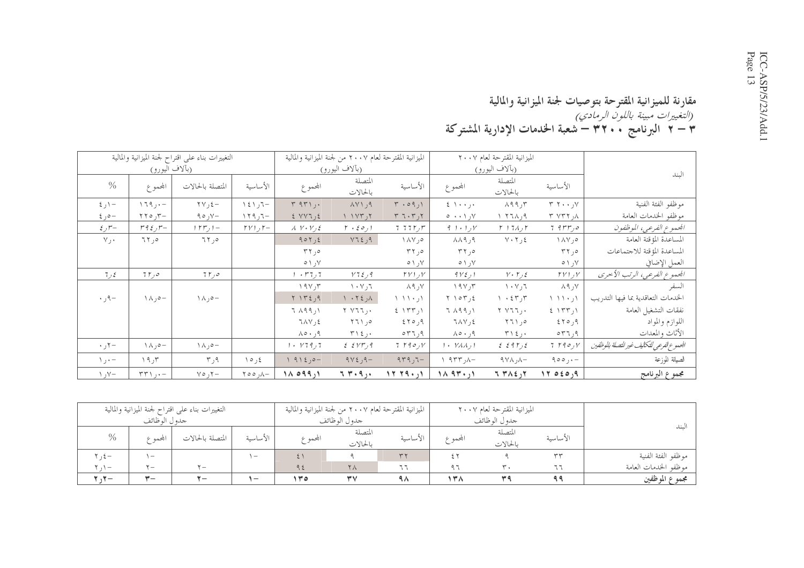### مقارنة للميزانية المقترحة بتوصيات لجنة الميزانية والمالية<br>*(التغييرات مبينة باللون الرمادي)*<br>٣ – ٢ البرنامج ٣٢٠٠ – شعبة الخدمات الإدارية المشتركة

|                               |                                                  | التغييرات بناء على اقتراح لجنة الميزانية والمالية |                                 |                                        | الميزانية المقترحة لعام ٢٠٠٧ من لجنة الميزانية والمالية |                                                 |                                                                        | الميزانية المقترحة لعام ٢٠٠٧                    |                             |                                            |
|-------------------------------|--------------------------------------------------|---------------------------------------------------|---------------------------------|----------------------------------------|---------------------------------------------------------|-------------------------------------------------|------------------------------------------------------------------------|-------------------------------------------------|-----------------------------|--------------------------------------------|
|                               | (بآلاف اليورو)                                   |                                                   |                                 |                                        | (بآلاف اليورو)                                          |                                                 |                                                                        | (بألاف اليورو)                                  |                             | المند                                      |
| $\%$                          | المحموع                                          | المتصلة بالحالات                                  | الأساسية                        | المحموع                                | المتصلة<br>بالحالات                                     | الأساسية                                        | المحموع                                                                | المتصلة<br>بالحالات                             | الأساسية                    |                                            |
| $5 - 1$                       | $179, -$                                         | $\Upsilon V, \Upsilon -$                          | $\mathcal{L}$ ر ۱٤۱ $-$         | $\mathbf{r}$ $\mathbf{q}\mathbf{r}$ ,. | AY1,9                                                   | $\mathsf{r}$ .09,1                              | $\epsilon \rightarrow \cdots$                                          | $\Lambda$ 99, $\Upsilon$                        | $Y, \ldots, Y$              | موظفو الفئة الفنية                         |
| –ەر ٤                         | $\tau$ ره ۲۲                                     | ۹۰٫۷ $-$                                          | $159$ ر ۱۲۹                     | 5 VVI, 5                               | 11YY,7                                                  | $T T \cdot T$                                   | ۷ر۰۰۱ ه                                                                | $P, \lambda, \tau$                              | ۸ر ۲ ۷۳۲                    | موظفو الخدمات العامة                       |
| $\mathcal{E}$ , $\mathcal{F}$ | $r \nmid \xi, r-$                                | Y                                                 | $\Gamma V$ , $\Gamma-$          | $\lambda$ $V \cdot V$ , $\epsilon$     | $\mathfrak{r}$ . $\mathfrak{so}_{\mathfrak{t}}$         | 777777                                          | 91.1                                                                   | $r + 7\lambda$                                  | $7.9$ $rr_0$                | الجموع الفرعي، الموظفون                    |
| $V_1$ .                       | 77,0                                             | 77,0                                              |                                 | 907,5                                  | $Y$ ر ٤ ٦٤                                              | $\wedge \wedge \vee, \circ$                     | $\lambda \lambda$ 9,9                                                  | $Y \cdot Y, \xi$                                | $\wedge \wedge \vee, \circ$ | المساعدة المؤقتة العامة                    |
|                               |                                                  |                                                   |                                 | $\tau \tau$ , $\circ$                  |                                                         | ەر ۳۲                                           | $\tau \tau$ ,                                                          |                                                 | ەر ۳۲                       | المساعدة المؤقتة للاجتماعات                |
|                               |                                                  |                                                   |                                 | $\circ \wedge \wedge$                  |                                                         | $0 \wedge$ , $V$                                | ۷ر ۱ ه                                                                 |                                                 | ۷ر ۱ ه                      | العمل الإضافي                              |
| 7, 5                          | 75,0                                             | ه ر۲۲                                             |                                 | 7 ر 7 ۳ ۰                              | Y72,9                                                   | $\Gamma V$ $\Gamma$                             | $9V\xi$ , $1$                                                          | $V \cdot \Gamma$                                | $TV$ را                     | الجموع الفرعي، الرتب الأحرى                |
|                               |                                                  |                                                   |                                 | 19V, 7                                 | $\mathcal{N} \cdot \mathcal{N}$ ٦                       | ∨ر ۸۹                                           | 191,7                                                                  | $\mathcal{N} \cdot \mathcal{N}$ ، $\mathcal{T}$ | ∨ر ۸۹                       | السفر                                      |
| $-\rho$ ر ۰                   | $\wedge \wedge, \circ -$                         | $\wedge \wedge, \circ -$                          |                                 | $Y \setminus Y \leq 0.9$               | $\wedge$ , $\wedge$ $\wedge$                            | $\langle \cdot   \cdot   \cdot   \cdot \rangle$ | $Y \cap \sigma Y, \epsilon$                                            | $\lambda$ $\cdot$ $\xi$ $\tau$ $\gamma$         | ار۱۱۰٫۱                     | الحدمات التعاقدية بما فيها التدريب         |
|                               |                                                  |                                                   |                                 | $7 \wedge 99,1$                        | Y V11,                                                  | 5.177,1                                         | $7 \wedge 99,1$                                                        | Y V 7 7, .                                      | 5.157,1                     | نفقات التشغيل العامة                       |
|                               |                                                  |                                                   |                                 | $7\Lambda V,2$                         | ۰٫۵ ۲۶۱                                                 | 570,9                                           | $7\,\mathrm{A} \,\mathrm{V}$ , 2                                       | ۰٫۵ ۲۶۱                                         | ۹ر۱۲۶                       | اللوازم والمواد                            |
|                               |                                                  |                                                   |                                 | ۹ر ۵۰ ۸                                | ۰ ر ۲ / ۳                                               | ۹ر۲۶ه                                           | ۹ر ۱۰ م۸                                                               | ۰ ر ۲ / ۳                                       | ۹ر۳۳م                       | الأثاث والمعدات                            |
| $\cdot$ , $\tau-$             | $\wedge \wedge, \circ -$                         | $\wedge \wedge$ ر $\sim$ $-$                      |                                 | 1.179,7                                | $254Y$ , 9                                              | 7790y                                           | $1$ $\cdot$ $\gamma$ $\lambda$ $\lambda$ $\lambda$ $\lambda$ $\lambda$ | 2.5917                                          | 7790y                       | الجموع الفرعي للتكايف غير للتصلة بالموظفين |
| $\setminus \cdot -$           | ۲ر۱۹                                             | ۹ر۳                                               | 10,5                            | -ەر١٩١٤                                | $9Y\xi$ ر $-$                                           | $779,7-$                                        | $\wedge$ 9 $\uparrow$ 7 $\uparrow$                                     | $\Lambda \vee \Lambda$ <sub>7</sub> $\Lambda -$ | $900, -$                    | الصيانة للوزعة                             |
| $\vee$ , $\vee$               | $\mathbf{r} \mathbf{r} \setminus \mathbf{r}$ ۰ – | $Y \circ \gamma -$                                | $\wedge$ , $\circ \circ \wedge$ | $1\land 099,1$                         | ۱۶۰۹٫۰                                                  | 17.79.11                                        | $10.94 \cdot 11$                                                       | 77A2,7                                          | 17020,9                     | مجموع البرنامج                             |

|                      |             | الميزانية المقترحة لعام ٢٠٠٧ |         |             | الميزانية المقترحة لعام ٢٠٠٧ من لجنة الميزانية والمالية |         |                          | التغييرات بناء على اقتراح لجنة الميزانية والمالية |                                 |                                  |
|----------------------|-------------|------------------------------|---------|-------------|---------------------------------------------------------|---------|--------------------------|---------------------------------------------------|---------------------------------|----------------------------------|
|                      |             | جدو ل الو ظائف               |         |             | جدو ل الو ظائف                                          |         |                          |                                                   | جدو ل الو ظائف                  |                                  |
| لىند                 | الأساسية    | المتصلة<br>بالحالات          | المحموع | الأساسية    | المتصلة<br>بالحالات                                     | المجموع | الأساسية                 | المتصلة بالحالات                                  | المجممه ع                       | $\%$                             |
| موظفو الفئة الفنية   | $\tau \tau$ |                              | د ۲     | $\tau \tau$ |                                                         |         | $\overline{\phantom{0}}$ |                                                   | $\hspace{0.1mm}-\hspace{0.1mm}$ | $\mathbf{v}_{1}, \mathbf{t} = 0$ |
| موظفو الحدمات العامة | - -         |                              | $a +$   | ٦٦          | ٢٨                                                      | 95      |                          | $\mathbf{v} =$                                    | $-$                             | $\mathbf{v}$ , $\mathbf{v}$      |
| مجموع الموظفين       |             |                              | ۱۳۸     | ۹۸          |                                                         | ه ۳ ۱   | $\qquad \qquad -$        | $x -$                                             | -<br><u>. —</u>                 | $\mathcal{N}-$                   |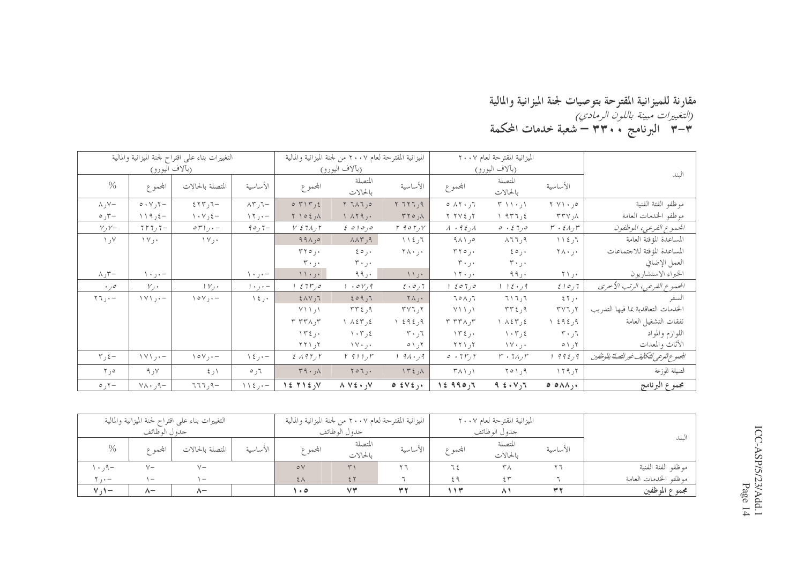#### مقارنة للميزانية المقترحة بتوصيات لجنة الميزانية والمالية<br>*(التغييرات مبينة باللون الرمادي)*<br>٣–٣ البرنامج ٣**٣٠٠ – شعبة خدمات المحكمة**

|                             |                                         | التغييرات بناء على اقتراح لجنة الميزانية والمالية |                                  |                                                     | الميزانية المقترحة لعام ٢٠٠٧ من لجنة الميزانية والمالية |                                    |                                    | الميزانية المقترحة لعام ٢٠٠٧    |                                            |                                           |
|-----------------------------|-----------------------------------------|---------------------------------------------------|----------------------------------|-----------------------------------------------------|---------------------------------------------------------|------------------------------------|------------------------------------|---------------------------------|--------------------------------------------|-------------------------------------------|
|                             | (بألاف اليورو)                          |                                                   |                                  |                                                     | (بآلاف اليورو)                                          |                                    |                                    | (بآلاف اليورو)                  |                                            | الىند                                     |
| $\%$                        | المجموع                                 | المتصلة بالحالات                                  | الأساسية                         | المحموع                                             | المتصلة<br>بالحالات                                     | الأساسية                           | المجموع                            | المتصلة<br>بالحالات             | الأساسية                                   |                                           |
| $\wedge$ , $\vee$ -         | $\circ \cdot \vee \circ -$              | $557 - 7 - 5$                                     | $\wedge$ ر ۸۳ $-$                | $0$ $\uparrow$ $\uparrow$ $\uparrow$ $\uparrow$     | ٥ر ٦٨٦ ٢                                                | $Y$ $757,9$                        | ٦ر۱۲۰ ه                            | $\uparrow$ ۱۱۰٫۱                | ۰٫۰ ۲ ۷۱                                   | موظفو الفئة الفنية                        |
| $\circ$ ,۳ $-$              | $119$ ر ۱۹                              | $\wedge \cdot \vee , \varepsilon -$               | $\Upsilon$ $\Upsilon$ $\Upsilon$ | $\uparrow$ $\uparrow$ $\circ$ $\uparrow$ $\uparrow$ | $\setminus \land \setminus \cap$                        | $\pi$ ره ۳۲                        | ۲ ر ۲ ۷ ۲ ۲                        | 1.977,                          | $\uparrow\uparrow\uparrow\downarrow$ ر ۲۳۷ | موظفو الخدمات العامة                      |
| $V, V-$                     | $7r7,7-$                                | $\mathfrak{or}$ ) $\mathfrak{g}$ + -              | $90,7-$                          | $Y \n\leq 7\lambda$ , $\Gamma$                      | $\epsilon$ 0 1 0 $,$ 0                                  | $\Gamma$ 90 $\Gamma$ , $V$         | $\lambda$ + 9 $\epsilon$ $\lambda$ | 0.510                           | $r \cdot \varepsilon \wedge r$             | الجموع الفرعي، الموظفون                   |
| ۷ر ۱                        | $\Upsilon \vee \Upsilon$                | ۰ ر۱۷                                             |                                  | $99 \wedge 10$                                      | $\Lambda\Lambda\Gamma$ ر $\gamma$                       | 112,7                              | ەر ۹۸۱                             | $\wedge$ 77,9                   | 112,7                                      | المساعدة المؤقتة العامة                   |
|                             |                                         |                                                   |                                  | $rr \circ \ldots$                                   | $\epsilon \circ \cdots$                                 | ۲۸۰٫۰                              | $\tau \tau \circ \ldots$           | ۰ر ه ٤                          | ۲۸۰٫۰                                      | المساعدة المؤقتة للاجتماعات               |
|                             |                                         |                                                   |                                  | $\mathbf{r} \cdot \mathbf{r}$                       | $r \cdot 1$ .                                           |                                    | $\mathbf{r} \cdot \mathbf{r}$      | ۰ر۳۰                            |                                            | العمل الإضافي                             |
| $\wedge$ , $\tau-$          | $\setminus \cdot$ ر ۱۰                  |                                                   | $\setminus \cdot \cdot, \cdot$   | $\langle \cdot \rangle$                             | ۰ ر ۹۹                                                  | $\langle \rangle$                  | 15.1                               | 99,                             | ۲۱ <sub>٫۰</sub>                           | الخبراء الاستشاريون                       |
| $\cdot$ , 0                 | $V, \cdot$                              | V                                                 | $1 + 1 + -$                      | 0 ر۶ 7 ۲ ع                                          | $. \circ v, q$                                          | $2 \cdot 0,7$                      | 0 ر 7 0 م                          | 115.4                           | 510,7                                      | الجموع الفرعي، الرتب الأحرى               |
| $\tau$ $\tau$ $\tau$ $\tau$ | $\{\forall\}$ , $\cdot$ -               | $\setminus \circ \vee, \cdot -$                   | $\lambda \xi$ , $\cdot$          | $2\lambda V,7$                                      | 509,7                                                   | $\uparrow \wedge$ ,.               | 70A,7                              | ۳۱ تا ۲                         | ٤٢٫٠                                       | السفر                                     |
|                             |                                         |                                                   |                                  | $Y \setminus \setminus \setminus$                   | ۹ر۲۳٤                                                   | ۲ ر ۳ ۷ تا                         | $Y \setminus \setminus \setminus$  | ۹ر ۲۳٤                          | ۲ر۲۷٦                                      | الحدمات التعاقدية بما فيها التدريب        |
|                             |                                         |                                                   |                                  | $T T T \wedge T$                                    | ٤ر ٨٤٣ ١                                                | ۹ر ٤٩٤ ١                           | $\tau$ $\tau\tau\lambda$ , $\tau$  | ٤ر ٨٤٣ ١                        | ۹ر ٤٩٤ ١                                   | نفقات التشغيل العامة                      |
|                             |                                         |                                                   |                                  | $\Upsilon$                                          | $\langle \cdot \tau \rangle$                            | $\mathbf{r} \cdot \mathbf{r}$      | ۱۳٤٫۰                              | $\langle \cdot \tau \rangle$    | $r \cdot 7$                                | اللوازم والمواد                           |
|                             |                                         |                                                   |                                  | $Y Y \setminus Y$                                   | $\mathcal{W} \cdot \mathcal{A}$                         | $0 \setminus 7$                    | $Y Y$ ر ۱                          | $\mathcal{N} \cdot \mathcal{N}$ | ۲ر۱ ه                                      | الأثاث والمعدات                           |
| $\tau$ , $\xi -$            | $\setminus \setminus \setminus \cdot -$ | $\setminus \circ \vee, \cdot -$                   | $\lambda \xi$ ر کا               | 2.195                                               | $r$ 911, $r$                                            | $91.9$ ور ۱                        | 0.7r, r                            | $r \cdot 7\lambda_f r$          | ۹ ر٤ ۹۹ ا                                  | الجموع الفرعي للتكايف غير للتصلة بالوظفين |
| Y, 0                        | 9, V                                    | $\xi$ ر کا                                        | $\circ$ , $\circ$                | $r q \cdot \lambda$                                 | $Y \circ 7$ .                                           | $\Lambda$ r $\epsilon$ , $\Lambda$ | $\uparrow \wedge \wedge \wedge$    | $Y \circ Y, 9$                  | $\gamma$ $\gamma$                          | الصيانة للوزعة                            |
| –۲ره                        | $\gamma \wedge \cdot \rho -$            | ۹-ر۲۶                                             | $11\xi$                          | $15.715$ y                                          | $\wedge \vee \epsilon \cdot y$                          | $0 \leq \forall \xi$               | 15990,7                            | 9.5.4                           | $\circ$ $\circ \wedge \wedge$ ,.           | مجموع البرنامج                            |

|                  |                                 | التغييرات بناء على اقتراح لجنة الميزانية والمالية |          | الميزانية المقترحة لعام ٢٠٠٧ من لجنة الميزانية والمالية |              |          |          | الميزانية المقترحة لعام ٢٠٠٧ |          |                      |
|------------------|---------------------------------|---------------------------------------------------|----------|---------------------------------------------------------|--------------|----------|----------|------------------------------|----------|----------------------|
|                  | جدول الوظائف                    |                                                   |          |                                                         | جدول الوظائف |          |          | جدول الوظائف                 |          | $\sim$               |
| $\%$             |                                 | المتصلة بالحالات                                  | الأساسية |                                                         | المتصلة      | الأساسية | المجمم ع | المتصلة                      | الأساسية | نسد                  |
|                  | بحمه ۶                          |                                                   |          | المجموع                                                 | بالحالات     |          |          | بالحالات                     |          |                      |
| $-P_{1}$ , $+$ , | $V -$                           |                                                   |          | $\circ \vee$                                            |              |          |          | ۳Λ                           |          | موظفو الفئة الفنية   |
| $\cdots$         | $\hspace{0.1mm}-\hspace{0.1mm}$ | $\overline{\phantom{a}}$                          |          | $2\lambda$                                              |              |          | ٤٩       | $\leftrightarrow$            |          | موظفو الحدمات العامة |
| $M_{\rm A}$      | $\wedge$                        | $\lambda-$                                        |          | ه ۱۰                                                    | VY           | w v      | ۱۱۳      | Λ,                           |          | مجموع الموظفين       |

ICC-ASP/5/23/Add.1<br>Page 14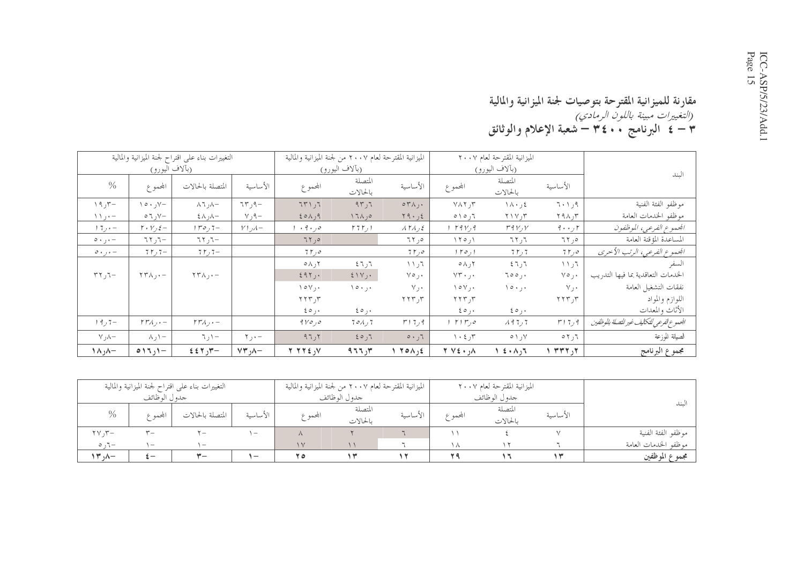#### مقارنة للميزانية المقترحة بتوصيات لجنة الميزانية والمالية ربية السياسية السياسية باللو*ن الرمادي)*<br>(*التغييرات مبينة باللون الرمادي)*<br>٣ **– ٤ البرنامج ٤٠٠ ٣ – شعبة الإعلام والوثائق**

|                               |                                              | التغييرات بناء على اقتراح لجنة الميزانية والمالية |                             |                                   | الميزانية المقترحة لعام ٢٠٠٧ من لجنة الميزانية والمالية |                                                           |                                             | الميزانية المقترحة لعام ٢٠٠٧ |                    |                                            |
|-------------------------------|----------------------------------------------|---------------------------------------------------|-----------------------------|-----------------------------------|---------------------------------------------------------|-----------------------------------------------------------|---------------------------------------------|------------------------------|--------------------|--------------------------------------------|
|                               | (بآلاف اليورو)                               |                                                   |                             |                                   | (بآلاف اليورو)                                          |                                                           |                                             | (بألاف اليورو)               |                    | الىند                                      |
| $\%$                          | المجموع                                      | المتصلة بالحالات                                  | الأساسية                    | المحموع                           | المتصلة<br>بالحالات                                     | الأساسية                                                  | المجموع                                     | المتصلة<br>بالحالات          | الأساسية           |                                            |
| 19,7                          | $\vee \circ \cdot \, \vee -$                 | $\wedge$ 7, $\wedge$ -                            | $75, 9 -$                   | 751,7                             | 97,7                                                    | $\circ \tau \wedge$ ,.                                    | $Y \wedge Y, Y$                             | $\lambda \cdot 3$            | 7.1,9              | موظفو الفئة الفنية                         |
| $\setminus \setminus \cdot -$ | $\circ$ 7, $\vee$ -                          | $+\wedge$ ر $\wedge$ $-$                          | $\vee$ , $\vee$             | 201,9                             | $17\lambda,0$                                           | Y9.56                                                     | $0 \mid 0,7$                                | $Y \vee Y$ ر $Y$             | $\uparrow$ ۹۸,۳    | موظفو الخدمات العامة                       |
| $1.7 + -$                     | $\mathbf{r} \cdot \mathbf{v}_j \mathbf{z}$ - | $1r$ 0,7–                                         | $V$ ر $\mathcal{N}$         | ه ر ۹۰ و ۰                        | 5751                                                    | ATA, 5                                                    | 1.19174                                     | r q v, v                     | $9 \cdot \cdot$ ۲  | الجموع الفرعي، الموظفون                    |
| $\circ \cdot \cdot \cdot$     | $777 -$ ر                                    | $\nabla \cdot \nabla \cdot \nabla$                |                             | 75,0                              |                                                         | ەر ٦٢                                                     | $\setminus \setminus \circ \cdot \setminus$ | 77,7                         | ەر۲۲               | المساعدة المؤقتة العامة                    |
| $\circ \cdot$ , $\cdot$ -     | $75,7-$                                      | $75,7-$                                           |                             | 75,0                              |                                                         | 75,0                                                      | $1 r o_1 1$                                 | 757                          | ه ر۲ ۲             | الجموع الفرعي، الرتب الأحرى                |
|                               |                                              |                                                   |                             | $\circ \wedge$ 7                  | 7ر ۲ ٤                                                  | $\mathcal{F}_{\mathcal{C}}$ \ $\mathcal{F}_{\mathcal{C}}$ | $\circ \wedge$ 7                            | 7ر ٦ ٤                       | ٦ر ۱۱              | السفر                                      |
| $\tau \tau$ , $\tau$          | $\Upsilon \Upsilon \wedge \cdots$            | $\Upsilon \Upsilon \wedge$ , $\cdot$ -            |                             | 297,                              | $5 \vee$ .                                              | ۰ره∨                                                      | ۰ ر۲۰ ۷۳                                    | ۰, ۵۰ ۲                      | ۰ ر۰۷              | الخدمات التعاقدية بما فيها التدريب         |
|                               |                                              |                                                   |                             | $\vee$ o $\vee$ $\vee$            | $\setminus \circ \cdot \cdot, \cdot$                    | ٧٫٠                                                       | $\vee$ o $\vee$ , $\cdot$                   | ۱۰٫۰                         | ٧j٠                | نفقات التشغيل العامة                       |
|                               |                                              |                                                   |                             | $\gamma \gamma \gamma$ ر $\gamma$ |                                                         | $\gamma \gamma \gamma$ ر $\gamma$                         | $\gamma$ ۲۲۳٫۳                              |                              | ٢٢٣٫٣              | اللوازم والمواد                            |
|                               |                                              |                                                   |                             | $\epsilon \circ \cdot$            | $\epsilon \circ \cdots$                                 |                                                           | $\epsilon \circ \cdots$                     | $\epsilon \circ \cdot$       |                    | الأثاث والمعدات                            |
| $19,7-$                       | $rr_A, -$                                    | $\Gamma \Gamma \Lambda$ , $\cdot$ $-$             |                             | 9                                 | 701,7                                                   | ۹ ر۲ (۳                                                   | ه رس ۲۱۳ و                                  | 1477                         | $r$ ر 7 $\tau$     | الجموع الفرعي للتكاليف غير للتصلة بالوظفين |
| $\vee$ , $\wedge$             | ハハー                                          | $\neg$ $\uparrow$ $\uparrow$                      | $\mathbf{y}$ , $\mathbf{y}$ | 97,7                              | 50,7                                                    | 5.7                                                       | $\cdot \epsilon$ , $\tau$                   | $\circ$ \, \                 | $\circ$ 7 ر $\tau$ | الصيانة للوزعة                             |
| $\wedge$ <sub>\</sub>         | $017,1-$                                     | $557,7-$                                          | $VY, A-$                    | Y Y Y E, V                        | 977,7                                                   | 1.70A, E                                                  | $Y \vee Y$ : $,\wedge$                      | し え・ハ い                      | ٢, ٣٣٢ ١           | مجموع البرنامج                             |

|                  |                                 | التغييرات بناء علىي اقتراح لجنة الميزانية والمالية |                          |         | الميزانية المقترحة لعام ٢٠٠٧ من لجنة الميزانية والمالية |          |           | الميزانية المقترحة لعام ٢٠٠٧ |          |                      |
|------------------|---------------------------------|----------------------------------------------------|--------------------------|---------|---------------------------------------------------------|----------|-----------|------------------------------|----------|----------------------|
|                  | جدو ل الوظائف                   |                                                    |                          |         | جدو ل الو ظائف                                          |          |           | جدول الوظائف                 |          |                      |
| $\%$             | البحمه ع                        | المتصلة بالحالات                                   | الأساسية                 | المجموع | المتصلة<br>بالحالات                                     | الأساسىة | المجممه ع | المتصلة<br>بالحالات          | الأساسية | لىند                 |
| $\tau v, \tau -$ | $\mathbf{v}_{-}$                | $\mathbf{v}$                                       | $\overline{ }$           |         |                                                         |          |           |                              |          | موظفو الفئة الفنية   |
| $\circ$ , $\tau$ | $\hspace{0.1mm}-\hspace{0.1mm}$ | $\overline{ }$                                     |                          | $\vee$  |                                                         |          |           |                              |          | موظفو الخدمات العامة |
| $\mathcal{N}$    | $\frac{1}{2}$ —                 | $Y -$                                              | $\overline{\phantom{0}}$ | 70      |                                                         |          |           |                              |          | مجموع الموظفين       |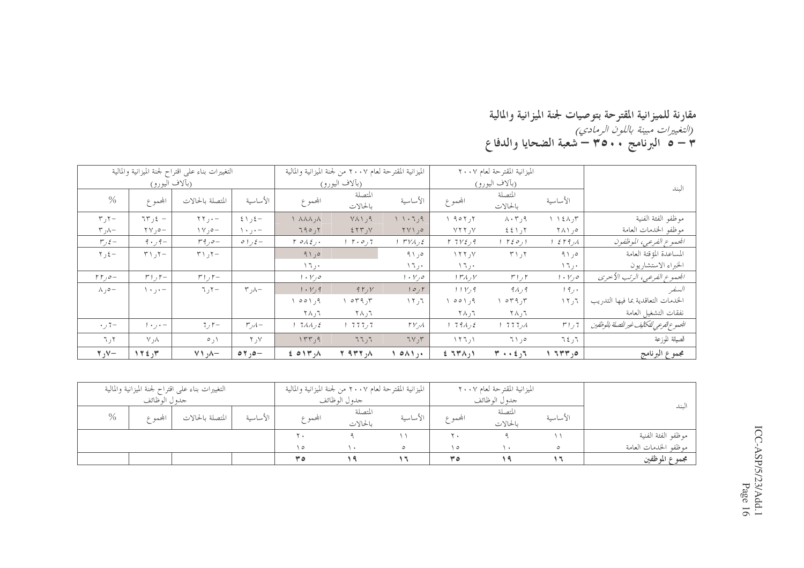### مقارنة للميزانية المقترحة بتوصيات لجنة الميزانية والمالية<br>*(التغييرات مبينة باللون الرمادي)*<br>٣ – ٥ البرنامج ٣٥٠٠ – شعبة الضحايا والدفاع

|                             |                                             | التغييرات بناء على اقتراح لجنة الميزانية والمالية |                                |                                   | الميزانية المقترحة لعام ٢٠٠٧ من لجنة الميزانية والمالية |                                   |                       | الميزانية المقترحة لعام ٢٠٠٧          |                        |                                            |
|-----------------------------|---------------------------------------------|---------------------------------------------------|--------------------------------|-----------------------------------|---------------------------------------------------------|-----------------------------------|-----------------------|---------------------------------------|------------------------|--------------------------------------------|
|                             | (بألاف اليورو)                              |                                                   |                                |                                   | (بألاف اليورو)                                          |                                   |                       | (بألاف اليورو)                        |                        | الىند                                      |
| $\%$                        | المجموع                                     | المتصلة بالحالات                                  | الأساسية                       | المحموع                           | المتصلة<br>بالحالات                                     | الأساسية                          | المجموع               | المتصلة<br>بالحالات                   | الأساسية               |                                            |
| $\tau$ , $\tau$             | $75, 2 -$                                   | $\Upsilon \Upsilon$ , $\cdot$ -                   | $\xi \setminus \xi$ -          | $\wedge$ $\wedge \wedge \wedge$   | $Y \wedge Y$ , 9                                        | 1.1.7.9                           | 1.907,7               | $\Lambda \cdot \tau$ , م              | $\Lambda$ ر ۱٤۸ $\tau$ | موظفو الفئة الفنية                         |
| $\tau$ ر $\lambda-$         | $\forall \forall$ , $\circ$                 | $\vee$ $\circ$ $\circ$                            | $\setminus \cdot \cdot, \cdot$ | 790,7                             | 2577, 10                                                | $\gamma \vee \gamma$ ,            | $Y$ ر ۲۲۲             | ۲ر۱ ٤٤                                | ۰٫ ۱ ۸۱                | موظفو الخدمات العامة                       |
| $r, \xi$ –                  | $9 \cdot 9 -$                               | $r \circ \rho -$                                  | $\circ$ ) $\circ$ –            | $\Gamma$ order.                   | $1 \cdot 0.7$                                           | $1 TVA$ , $\epsilon$              | Y 7 V 2 9 9           | ا ره ۲٤ ا                             | 259.1                  | الجموع الفرعي، الموظفون                    |
| $\tau$ , $\xi$ –            | $\uparrow$ $\uparrow$ $\uparrow$ $\uparrow$ | $T \cup T$                                        |                                | 91,0                              |                                                         | 91,0                              | $Y$ ر ۲۲              | ۲ر ۲۱                                 | ۰٫۵ و ۹۱               | المساعدة المؤقتة العامة                    |
|                             |                                             |                                                   |                                | ۰ ر ۲ ۱                           |                                                         | ۰ ر ۱                             | ۱٦٫۰                  |                                       | ۱٦,۰                   | الخبراء الاستشاريون                        |
| $\Gamma \Gamma$ , $\circ$ - | $r_{1}$ , $r_{-}$                           | $r_{1}, r_{-}$                                    |                                | $1 \cdot Y$ , $\circ$             |                                                         | $1 \cdot Y_1 o$                   | $1 r \lambda, V$      | $r_{1,f}$                             | $1 + V_1 o_1$          | الجموع الفرعي، الرتب الأحرى                |
| $\wedge$ , $\circ$ -        | $\setminus \cdot \cdot, \cdot$              | $\nabla, \nabla -$                                | $\tau$ , $\lambda -$           | 1. V, 9                           | 9Y, V                                                   | 10, 1                             | 11V, 9                | ۹۸٫۹                                  | 19.4                   | السنفير                                    |
|                             |                                             |                                                   |                                | ۹ ر ۱ ه ه                         | $\circ$ $\mathsf{r}$ $\mathsf{q}$ , $\mathsf{r}$        | ٦٦ ر ١٢                           | ۹ ر۱ ۵ ه              | ۲ر ۲۹ م                               | ٦ر١٢                   | الحدمات التعاقدية بما فيها التدريب         |
|                             |                                             |                                                   |                                | ⊤ر ۲۸                             | $\mathbf{7} \wedge \mathbf{7}$                          |                                   | ⊤ر ۲۸                 | ⊤ر ۲۸                                 |                        | نفقات التشغيل العامة                       |
| $+7-$                       | $1 + 1 + -$                                 | $7, r-$                                           | $r, \lambda -$                 | $17\Lambda\Lambda$ <sub>2</sub> ( | ד, דדד ו                                                | $\Gamma V$ <sub>J</sub> $\Lambda$ | 179A                  | 1 777                                 | 7 ر ۲ س                | الجموع الفرعي للتكاليف غير للتصلة بالوظفين |
| ۲ر ٦                        | ۸ر۷                                         | ۱ ر ه                                             | Y, Y                           | ١٣٣٫٩                             | 77,7                                                    | 7V, 7V                            | $\binom{1}{1}$ ار ۱۲۶ | ەر ٦١                                 | ٦٤٫٦                   | الصيانة للوزعة                             |
| $\mathbf{y}$ , $\mathbf{y}$ | ١٢٤٫٣                                       | $\vee$ $\wedge$ $\vee$                            | $\circ \tau$ , $\circ -$       | $E$ oir, $\Lambda$                | $Y$ arr, $\Lambda$                                      | $\circ \wedge \wedge$ ,           | $E$ $T M$             | $T \rightarrow \epsilon$ <sub>1</sub> | ٥ر ٦٣٣                 | مجموع البرنامج                             |

|      |               | التغييرات بناء علىي اقتراح لجنة الميزانية والمالية |          |         | الميزانية المقترحة لعام ٢٠٠٧ من لجنة الميزانية والمالية |          |          | الميزانية المقترحة لعام ٢٠٠٧ |          |                      |
|------|---------------|----------------------------------------------------|----------|---------|---------------------------------------------------------|----------|----------|------------------------------|----------|----------------------|
|      | جدو ل الوظائف |                                                    |          |         | جدو ل الو ظائف                                          |          |          | جدو ل الو ظائف               |          |                      |
| $\%$ | ابحمه ع       | المتصلة بالحالات                                   | الأساسية | المجموع | المتصلة<br>بالحالات                                     | الأساسية | المجمم ع | المتصلة<br>بالحالات          | الأساسية | لىند                 |
|      |               |                                                    |          | ٠.      |                                                         |          |          |                              |          | موظفو الفئة الفنية   |
|      |               |                                                    |          | $\circ$ |                                                         | $\circ$  | $\circ$  |                              |          | موظفو الحدمات العامة |
|      |               |                                                    |          | ه ۳     |                                                         |          | ۳٥       |                              |          | مجموع الموظفين       |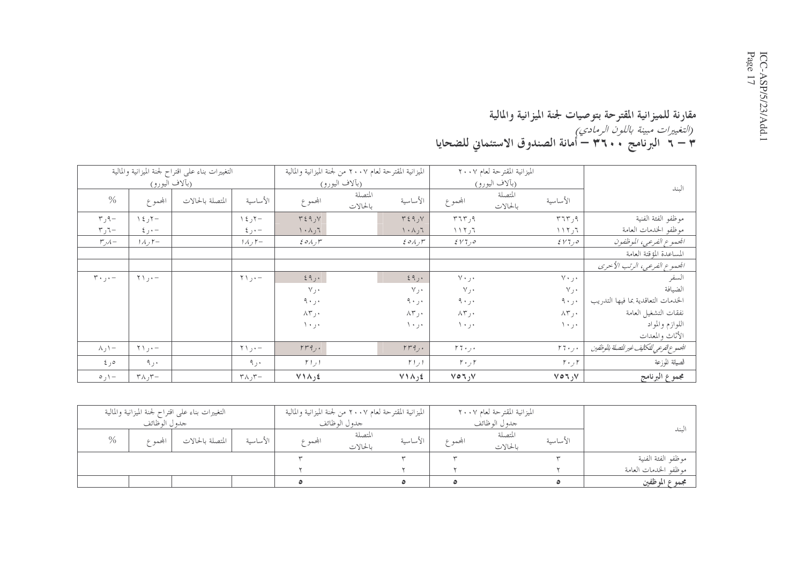#### مقارنة للميزانية المقترحة بتوصيات لجنة الميزانية والمالية<br>*(التغييرات مبينة باللون الرمادي)*<br>٣ – ٢ البرنامج ٣ . ٣ ٢ – أمانة الصندوق الاستئماني للضحايا

|                                       |                               | التغييرات بناء على اقتراح لجنة الميزانية والمالية |                                 | الميزانية المقترحة لعام ٢٠٠٧ من لجنة الميزانية والمالية |                     |                                        |                       | الميزانية المقترحة لعام ٢٠٠٧ |                |                                            |
|---------------------------------------|-------------------------------|---------------------------------------------------|---------------------------------|---------------------------------------------------------|---------------------|----------------------------------------|-----------------------|------------------------------|----------------|--------------------------------------------|
|                                       | (بآلاف <u>اليورو)</u>         |                                                   |                                 |                                                         | (بآلاف اليورو)      |                                        |                       | (بألاف اليورو)               |                | البند                                      |
| $\frac{0}{0}$                         | المجموع                       | المتصلة بالحالات                                  | الأساسية                        | المحموع                                                 | المتصلة<br>بالحالات | الأساسية                               | المجموع               | المتصلة<br>بالحالات          | الأساسية       |                                            |
| $\mathbf{r}$ ر۳                       | $\lambda \xi$ , $\zeta -$     |                                                   | ر ٤ ١                           | $Y \xi$ ۹٫۷                                             |                     | $Y \xi$ 9, $Y$                         | 575, 9                |                              | ۹ ر۲۶۳         | موظفو الفئة الفنية                         |
| $\mathbf{r}$ ر $\mathbf{r}$           | $\xi$ ر ځ                     |                                                   | $\xi$ ر ځ                       | $\mathcal{L}_{\mathcal{L}} \wedge \cdot \wedge$         |                     | ٦ر ۱۰۸                                 | ٦ ر ۱ ۱ ۲             |                              | ٦ ر ۱ ۱ ۲      | موظفو الخدمات العامة                       |
| $r_{\nu}$                             | $1\Lambda$ , $\mathsf{r}-$    |                                                   | $1\land$ ر ۱۸ $-$               | $\mathcal{E} \circ \wedge \mathcal{F}$                  |                     | $\mathcal{E} \circ \wedge \mathcal{F}$ | $2 V$ 7) $\circ$      |                              | $EVT_1 o$      | الجموع الفرعي، الموظفون                    |
|                                       |                               |                                                   |                                 |                                                         |                     |                                        |                       |                              |                | المساعدة المؤقتة العامة                    |
|                                       |                               |                                                   |                                 |                                                         |                     |                                        |                       |                              |                | الجموع الفرعي، الرتب الأحرى                |
| $\mathbf{r} \cdot \mathbf{j} \cdot -$ | $\uparrow \setminus \cdot -$  |                                                   | $\uparrow \uparrow , \cdot -$   | ۰ ر۹ ٤                                                  |                     | ٤٩,٠                                   | ۰ر۷۰                  |                              | ۲۰ر۲۰          | السفر                                      |
|                                       |                               |                                                   |                                 | $V_{J}$ .                                               |                     | V                                      | $v_{j}$ .             |                              | $\vee\, \cdot$ | الضيافة                                    |
|                                       |                               |                                                   |                                 | ۰ر ۹۰                                                   |                     | $9 \cdot 1$                            | ۰ر ۹۰                 |                              | ۰ ر ۹          | الخدمات التعاقدية بما فيها التدريب         |
|                                       |                               |                                                   |                                 | ۰ر۸۳                                                    |                     | ۰ر۸۳                                   | ۰ر۸۳                  |                              | ۰ر×۸           | نفقات التشغيل العامة                       |
|                                       |                               |                                                   |                                 | $\lambda + \lambda +$                                   |                     | ۰۰ ر ۱۰                                | ۰ر۱۰                  |                              | ۰۰ ر۰ ۱        | اللوازم والمواد<br>الأثاث والمعدات         |
| $\wedge$ ر $\wedge$                   | $\uparrow \setminus \cdot -$  |                                                   | $\uparrow \uparrow$ , $\cdot$ - | $rrq$ .                                                 |                     | $rrq$ .                                | $r\tau\cdot\tau\cdot$ |                              | $r_7 \ldots$   | الجموع الفرعي للتكاليف غير للتصلة بالوظفين |
| ەر ئ                                  | ۰ ر۹                          |                                                   | ۰ر۹                             | $r_{l}$                                                 |                     | $r_{1,1}$                              | $r \cdot$ , $r$       |                              | $r \cdot f$    | الصيانة للوزعة                             |
| $-\prime$ ره                          | $\tau \wedge \tau$ ر ۸ $\tau$ |                                                   | $\tau \wedge \tau$              | $V \wedge \wedge$ <sub>1</sub>                          |                     | $V \wedge \wedge$ <sub>1</sub>         | $V \circ 7, V$        |                              | $V \circ 7, V$ | مجموع البرنامج                             |

|                      |          | الميزانية المقترحة لعام ٢٠٠٧ |           |          | الميزانية المقترحة لعام ٢٠٠٧ من لجنة الميزانية والمالية |         |          | التغييرات بناء علىي اقتراح لجنة الميزانية والمالية |                |      |
|----------------------|----------|------------------------------|-----------|----------|---------------------------------------------------------|---------|----------|----------------------------------------------------|----------------|------|
|                      |          | جدول الوظائف                 |           |          | جدو ل الو ظائف                                          |         |          |                                                    | جدو ل الو ظائف |      |
| سىد                  | الأساسية | المتصلة<br>بالحالات          | المجممه ع | الأساسىة | المتصلة<br>بالحالات                                     | المجموع | الأساسىة | المتصلة بالحالات                                   | ابحمه ع        | $\%$ |
| موظفو الفئة الفنية   |          |                              |           |          |                                                         |         |          |                                                    |                |      |
| موظفو الحدمات العامة |          |                              |           |          |                                                         |         |          |                                                    |                |      |
| مجموع الموظفين       |          |                              |           |          |                                                         |         |          |                                                    |                |      |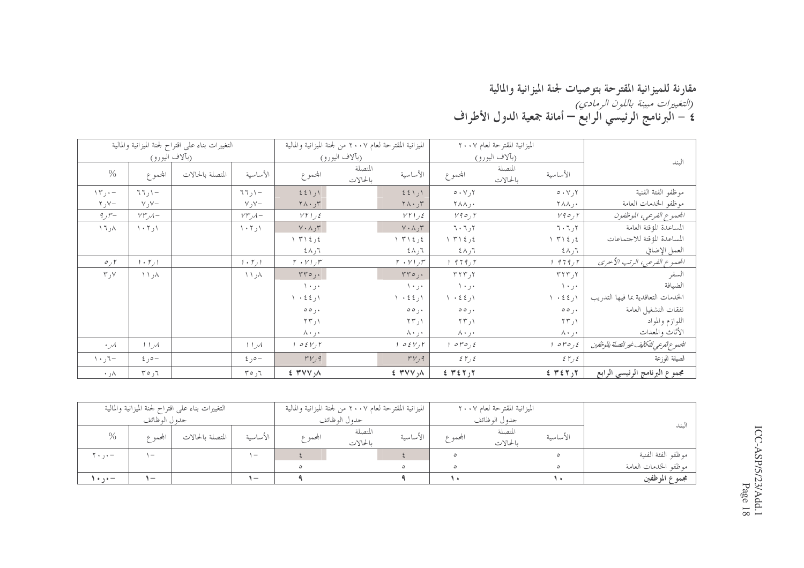#### مقارنة للميزانية المقترحة بتوصيات لجنة الميزانية والمالية<br>*(التغييرات مبينة باللون الرمادي)*<br>٤ – البرنامج الرئيسي الرابع – أمانة جمعية الدول الأطراف

|                         |                                 | التغييرات بناء على اقتراح لجنة الميزانية والمالية |                               |                                                       | الميزانية المقترحة لعام ٢٠٠٧ من لجنة الميزانية والمالية |                                                 |                                                 | الميزانية المقترحة لعام ٢٠٠٧                        |                                            |
|-------------------------|---------------------------------|---------------------------------------------------|-------------------------------|-------------------------------------------------------|---------------------------------------------------------|-------------------------------------------------|-------------------------------------------------|-----------------------------------------------------|--------------------------------------------|
|                         | (بآلاف اليورو)                  |                                                   |                               |                                                       | (بآلاف اليورو)                                          |                                                 |                                                 | (بألاف اليورو)                                      | الىند                                      |
| $\frac{0}{0}$           | المجموع                         | المتصلة بالحالات                                  | الأساسية                      | المحموع                                               | المتصلة<br>بالحالات                                     | الأساسية                                        | المحموع                                         | المتصلة<br>الأساسية<br>بالحالات                     |                                            |
| $\Upsilon$ ر ۱۳         | $\top$ ار                       |                                                   | $\top$ ار ۲٦                  | اراكك                                                 |                                                         | 221)                                            | $0 \cdot Y, Y$                                  | $0 \cdot V_1$ ۲                                     | موظفو الفئة الفنية                         |
| $Y - Y$ ر ۲             | $\vee$ , $\vee$                 |                                                   | $\vee$ , $\vee$               | $\mathbf{Y} \wedge \cdot \mathbf{y} \mathbf{r}$       |                                                         | $\mathbf{Y} \wedge \cdot \mathbf{y} \mathbf{r}$ | ۰, ۲۸۸                                          | ۲۸۸,۰                                               | موظفو الخدمات العامة                       |
| $9, r-$                 | $V\mathcal{F}$ ر $\mathcal{A}-$ |                                                   | $V\ddot{\mathcal{r}}$         | $Y\upharpoonright \bigcup \xi$                        |                                                         | $YY$ را ۲۲                                      | ۲ ره ۷۹                                         | $Y \uparrow \phi$ ره                                | الجموع الفرعي، الموظفون                    |
| ۸ر۱۲                    | $\langle \cdot \tau \rangle$    |                                                   | $\langle \cdot, \tau \rangle$ | $V \cdot \Lambda_J$ ۳                                 |                                                         | $V \cdot \Lambda_J$ ۳                           | 7.7.7                                           | $7.7$ ر $7.7$                                       | المساعدة المؤقتة العامة                    |
|                         |                                 |                                                   |                               | $\gamma$ $\gamma$ $\gamma$ $\gamma$ $\gamma$ $\gamma$ |                                                         | ٤ ر٤ ٢١ ١                                       | ٤ ر٤ ٢١ ١                                       | ٤ ر٢١٤ ١                                            | المساعدة المؤقتة للاجتماعات                |
|                         |                                 |                                                   |                               | ۲ر∧٤                                                  |                                                         | ۲ر∧٤                                            | ۲ر∧٤                                            | ۲ر∧٤                                                | العمل الإضافي                              |
| $\circ$ ره              | ا را ۱۰                         |                                                   | $1 + \gamma$ , $1$            | $r \cdot r$ , $r$                                     |                                                         | $r \cdot r$ ر ۱ $r$                             | ۲ ر۹ ۶ ۹                                        | $-979$                                              | الجموع الفرعي، الرتب الأحرى                |
| $\mathbf{y}_\mathrm{C}$ | $\wedge \wedge \wedge$          |                                                   | ۸ر ۱۱                         | $rro_j$ .                                             |                                                         | $rro,$ .                                        | ٢ر٢٢٣                                           | $\tau$ ر ۲۲۳                                        | السفر                                      |
|                         |                                 |                                                   |                               | ۰ ر۰ ۱                                                |                                                         | ۰ر۱۰                                            | ۰ر۱۰                                            | ٠٠ر٠١                                               | الضيافة                                    |
|                         |                                 |                                                   |                               | $\wedge$ در ٤٤ ه                                      |                                                         | ۱ر ٤٤ ۱۰                                        | $\backslash$ $\cdot$ $\leq$ $\leq$ $\backslash$ | ۱ر ٤٤ ۰                                             | الخدمات التعاقدية بما فيها التدريب         |
|                         |                                 |                                                   |                               | $\circ \circ$ ,.                                      |                                                         | $\circ \circ$ ,                                 | $\circ \circ$ ,                                 | $\circ \circ$ ,.                                    | نفقات التشغيل العامة                       |
|                         |                                 |                                                   |                               | ۱ ر۲۳                                                 |                                                         | ۱ ر۲۳                                           | ١ر٢٣                                            | ۱ ر۲۳                                               | اللوازم والمواد                            |
|                         |                                 |                                                   |                               | →ر←∧                                                  |                                                         | ۰ ر۰ ۸                                          | ۰ر∙∧                                            | ∗ر∗∧                                                | الأثاث والمعدات                            |
| $\cdot$ , $\lambda$     | 11 <sub>1</sub>                 |                                                   | 11 <sub>1</sub>               | $\circ$ { $V$ , $\uparrow$                            |                                                         | $0 \leq Y \leq 1$                               | ٤ ره۳ ه                                         | $\mathcal{O} \mathcal{V} \mathcal{O}_J \mathcal{E}$ | الجموع الفرعي للتكايف غير للتصلة بالموظفين |
| $\cdots$ $\mathcal{L}$  | $2,0-$                          |                                                   | $2,0-$                        | $r_{V,9}$                                             |                                                         | $r_{V,9}$                                       | 25/2                                            | 57.5                                                | الصيانة للوزعة                             |
| ۸ر ۰                    | ۲ر۳۵                            |                                                   | ۲ر۳۵                          | 25 YV                                                 |                                                         | $25$ $\gamma$ $\gamma$                          | $25 + 25$                                       | E Y E Y Y                                           | مجموع البرنامج الرئيسي الرابع              |

|                      |          | الميزانية المقترحة لعام ٢٠٠٧ |           |          | الميزانية المقترحة لعام ٢٠٠٧ من لجنة الميزانية والمالية |         |                          | التغييرات بناء على اقتراح لجنة الميزانية والمالية |                                 |                  |
|----------------------|----------|------------------------------|-----------|----------|---------------------------------------------------------|---------|--------------------------|---------------------------------------------------|---------------------------------|------------------|
|                      |          | جدو ل الو ظائف               |           |          | جدو ل الو ظائف                                          |         |                          |                                                   | جدو ل الوظائف                   |                  |
| لىند                 | الأساسية | المتصلة<br>بالحالات          | المجممه ع | الأساسية | المتصلة<br>بالحالات                                     | المجموع | الأساسية                 | المتصلة بالحالات                                  | بحمه ۶                          | $\%$             |
| موظفو الفئة الفنية   |          |                              | $\circ$   |          |                                                         |         | $\overline{ }$           |                                                   | $\hspace{0.1mm}-\hspace{0.1mm}$ | <b>F</b> + , + — |
| موظفو الحدمات العامة |          |                              | $\circ$   |          |                                                         |         |                          |                                                   |                                 |                  |
| مجموع الموظفين       |          |                              |           |          |                                                         |         | $\overline{\phantom{0}}$ |                                                   | $\overline{\phantom{a}}$        | $+$ , $+$ –      |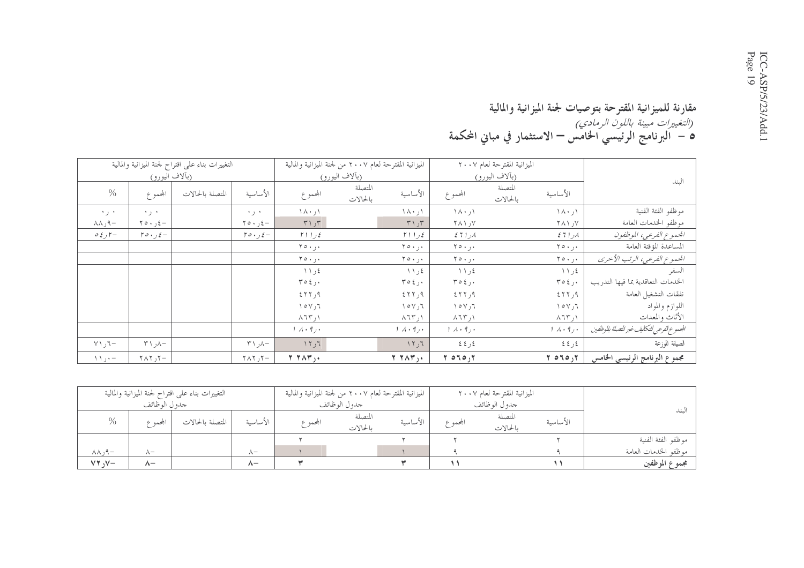#### مقارنة للميزانية المقترحة بتوصيات لجنة الميزانية والمالية ر*التغييرات مبينة باللون الرمادي)*<br>9 – البرنامج الرئيسي الخامس – الاستثمار في مباني المحكمة

|                                 |                                    | التغييرات بناء على اقتراح لجنة الميزانية والمالية |                                              |                                    | الميزانية المقترحة لعام ٢٠٠٧ من لجنة الميزانية والمالية |                        |                                  | الميزانية المقترحة لعام ٢٠٠٧ |                             |                                           |
|---------------------------------|------------------------------------|---------------------------------------------------|----------------------------------------------|------------------------------------|---------------------------------------------------------|------------------------|----------------------------------|------------------------------|-----------------------------|-------------------------------------------|
|                                 | (بآلاف <u>اليورو)</u>              |                                                   |                                              |                                    | (بألاف اليورو)                                          |                        |                                  | (بألاف اليورو)               |                             | الىند                                     |
| $\frac{0}{0}$                   | المحموع                            | المتصلة بالحالات                                  | الأساسية                                     | المحموع                            | المتصلة<br>بالحالات                                     | الأساسية               | المحموع                          | المتصلة<br>بالحالات          | الأساسية                    |                                           |
| ۰۰ ر۰                           | $+$ $+$                            |                                                   | ۰ ر۰                                         | $\wedge \wedge \cdot \wedge$       |                                                         | ۱۸۰٫۱                  | ۱ ر۰ ۸۰                          |                              | ۱ ر۰ ۸۰                     | موظفو الفئة الفنية                        |
| −۹ر∧∧                           | $\gamma \circ \cdot \cdot \cdot =$ |                                                   | $\uparrow \circ \cdot \downarrow \leftarrow$ | $T \setminus T$                    |                                                         | ۳۱٫۳                   | ۷ر ۲۸۱                           |                              | ۷ر ۲۸۱                      | موظفو الخدمات العامة                      |
| $0 \xi$ , $\zeta$               | $r \circ \cdot f =$                |                                                   | $r \circ f$ , $\zeta -$                      | $\gamma$ ) $\gamma$                |                                                         | $\gamma$ ) $\gamma$    | $271\,\mu$                       |                              | 271 <sub>1</sub>            | الجموع الفرعي، الموظفون                   |
|                                 |                                    |                                                   |                                              | $\gamma \circ \cdot \cdot \cdot$   |                                                         | ۰۰ ر۰ ۲۰               | $\gamma \circ \cdot \cdot \cdot$ |                              | ۰ر۰۰۲                       | المساعدة المؤقتة العامة                   |
|                                 |                                    |                                                   |                                              | $Y \circ \cdot \cdot \cdot$        |                                                         | ۰ر۰۰۲                  | ۰ر۰۱۲                            |                              | $Y \circ \cdot \cdot \cdot$ | الجموع الفرعي، الرتب الأحرى               |
|                                 |                                    |                                                   |                                              | ٤ر ١١                              |                                                         | ٤ر ١١                  | ٤ ر ١١                           |                              | ٤ ر ١١                      | السفر                                     |
|                                 |                                    |                                                   |                                              | $T O \xi$ ,                        |                                                         | $r \circ \xi$ .        | $r \circ \xi$ .                  |                              | $r \circ \xi$ .             | الخدمات التعاقدية بما فيها التدريب        |
|                                 |                                    |                                                   |                                              | 557,9                              |                                                         | ۹ر۲۲۲                  | ۹ر۲۲۲ ک                          |                              | ۹ر۲۲ ٤                      | نفقات التشغيل العامة                      |
|                                 |                                    |                                                   |                                              | $\wedge \circ \vee, \vee$          |                                                         | ۲ر۱۰۷                  | $\setminus \circ \vee, \preceq$  |                              | ۲ر۱۰۷                       | اللوازم والمواد                           |
|                                 |                                    |                                                   |                                              | $\lambda$ $75^{\circ}$ , $\lambda$ |                                                         | $\wedge$ ۱۲ ر $\wedge$ | ۱ ر ۲ ۲ ۸                        |                              | $\wedge$ $\wedge$ $\wedge$  | الأثاث والمعدات                           |
|                                 |                                    |                                                   |                                              | $1 \wedge \cdot 9$ .               |                                                         | $1 \wedge \cdot 9$     | $1 \wedge \cdot 9$ , $\cdot$     |                              | $1 \wedge \cdot 9$          | الجموع الفرعي للتكايف غير للتصلة بالوظفين |
| $\forall \Upsilon$ , $\Upsilon$ | $\uparrow$ ۱, ۱ $\uparrow$         |                                                   | $\uparrow$ \, \ -                            | ٦ ر ۱۲                             |                                                         | 11,7                   | ٤٤ ک                             |                              | کرکا                        | الصيانة للوزعة                            |
| $\setminus \setminus \cdot -$   | $\tau \wedge \tau$ ر ۲۸۲           |                                                   | $\tau \wedge \tau$ ر ۲۸۲                     | $Y Y \wedge Y$ ,.                  |                                                         | $Y Y \wedge Y$ ,       | $Y_{0}$ ord $Y_{1}$              |                              | $Y \circ T \circ yY$        | مجموع البرنامج الرئيسي الخامس             |

|                          |                | التغييرات بناء علىي اقتراح لجنة الميزانية والمالية |            |         | الميزانية المقترحة لعام ٢٠٠٧ من لجنة الميزانية والمالية |          |          | الميزانية المقترحة لعام ٢٠٠٧ |          |                      |
|--------------------------|----------------|----------------------------------------------------|------------|---------|---------------------------------------------------------|----------|----------|------------------------------|----------|----------------------|
|                          | جدو ل الو ظائف |                                                    |            |         | جدو ل الو ظائف                                          |          |          | جدو ل الوظائف                |          |                      |
| $\%$                     | المجممه ع      | المتصلة بالحالات                                   | الأساسية   | المجموع | المتصلة<br>بالحالات                                     | الأساسية | المجمم ع | المتصلة<br>بالحالات          | الأساسية | لممات                |
|                          |                |                                                    |            |         |                                                         |          |          |                              |          | موظفو الفئة الفنية   |
| $-\rho, \lambda \lambda$ | $\wedge$ -     |                                                    | $\wedge$ - |         |                                                         |          |          |                              |          | موظفو الخدمات العامة |
| $VY, V -$                | $\wedge$       |                                                    | ハー         |         |                                                         |          |          |                              |          | مجموع الموظفين       |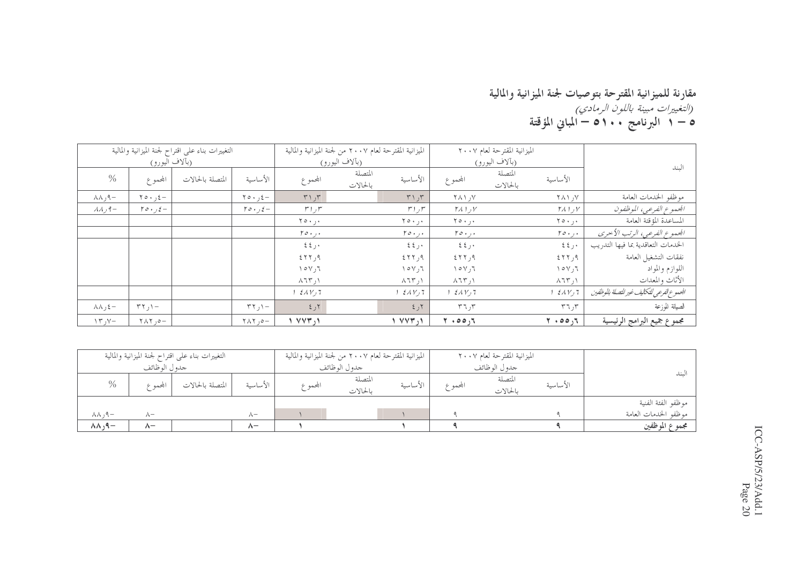#### مقارنة للميزانية المقترحة بتوصيات لجنة الميزانية والمالية<br>*(التغييرات مبينة باللون الرمادي)*<br>0 – 1 البرنامج 1 0 – المباني المؤقتة

|                                  |                                    | التغييرات بناء على اقتراح لجنة الميزانية والمالية |                                              | الميزانية المقترحة لعام ٢٠٠٧ من لجنة الميزانية والمالية |                     |                             |                                 | الميزانية المقترحة لعام ٢٠٠٧ |                                |                                            |
|----------------------------------|------------------------------------|---------------------------------------------------|----------------------------------------------|---------------------------------------------------------|---------------------|-----------------------------|---------------------------------|------------------------------|--------------------------------|--------------------------------------------|
|                                  | (بألاف اليورو)                     |                                                   |                                              |                                                         | (بألاف اليورو)      |                             |                                 | (بألاف اليورو)               |                                | الىند                                      |
| $\%$                             | المجموع                            | المتصلة بالحالات                                  | الأساسية                                     | المحموع                                                 | المتصلة<br>بالحالات | الأساسية                    | المجموع                         | المتصلة<br>بالحالات          | الأساسية                       |                                            |
| $\wedge \wedge$ , 9 $-$          | $\gamma \circ \cdot \cdot, \xi -$  |                                                   | $\uparrow \circ \cdot \downarrow \leftarrow$ | $T \setminus T$                                         |                     | $T \cup T$                  | $Y \wedge Y$ ر ۱                |                              | ۷ر ۲۸۱                         | موظفو الحدمات العامة                       |
| $\lambda \lambda$ , 9 -          | $r \circ \cdot f =$                |                                                   | $r \circ \cdot f =$                          | $r_{1,f}$                                               |                     | $r_1$ ر 1                   | $Y$ ر 1 $Y$                     |                              | $\mathcal{M}$ را $\mathcal{N}$ | الجموع الفرعي، الموظفون                    |
|                                  |                                    |                                                   |                                              | ۰, ۲۰ ۲                                                 |                     | ۰ ر ۲ ۰ م                   | ۰ر۰ ۲۰                          |                              | ۰ ر۰ ه ۲                       | المساعدة المؤقتة العامة                    |
|                                  |                                    |                                                   |                                              | $r \circ \cdot \cdot \cdot$                             |                     | $r \circ \cdot \cdot \cdot$ | $r \circ \cdot \cdot \cdot$     |                              | $r \circ \cdot \cdot \cdot$    | الجمموع الفرعي، الرتب الأحرى               |
|                                  |                                    |                                                   |                                              | 22.5                                                    |                     | 22.5                        | ۰ر ٤٤                           |                              | ٤٤٫٠                           | الخدمات التعاقدية بما فيها التدريب         |
|                                  |                                    |                                                   |                                              | 557,9                                                   |                     | 577,9                       | 577,9                           |                              | 557, 9                         | نفقات التشغيل العامة                       |
|                                  |                                    |                                                   |                                              | $\gamma \circ \gamma$ , $\gamma$                        |                     | ۲ر۱۵۷                       | $\setminus \circ \vee, \preceq$ |                              | ۲ ر۷ ۱                         | اللوازم والمواد                            |
|                                  |                                    |                                                   |                                              | $\lambda$ $\lambda$ $\uparrow$ $\uparrow$ $\uparrow$    |                     | $\wedge$ ۱ ر $\wedge$       | $\lambda$ ار ۱۳                 |                              | $\wedge$ $\vee$ $\vee$         | الأثاث والمعدات                            |
|                                  |                                    |                                                   |                                              | $\mathcal{E} \wedge V$ <sub>1</sub> 7                   |                     | $2\lambda V$                | $1 \xi \Lambda V$ , $7$         |                              | 1.511/7                        | الجموع الفرعي للتكاليف غير للتصلة بالوظفين |
| $\lambda \lambda$ , $\xi -$      | $\uparrow \uparrow$ , $\uparrow -$ |                                                   | $\uparrow \uparrow$ / $\uparrow$             | ۲ ر ٤                                                   |                     | $5 - 5$                     | T 7.7                           |                              | $r\tau$ ر ۳                    | الصيانة للوزعة                             |
| $\Upsilon \Upsilon$ , $\Upsilon$ | $-0, 7\Lambda$                     |                                                   | $\uparrow \wedge \uparrow$ , $\circ -$       | $\sqrt{V}$                                              |                     | $\sqrt{V}$                  | 7.00,7                          |                              | $Y \cdot 00,7$                 | مجموع جميع البرامج الرئيسية                |

|                             |               | التغييرات بناء علىي اقتراح لجنة الميزانية والمالية |            |                | الميزانية المقترحة لعام ٢٠٠٧ من لجنة الميزانية والمالية |          |               | الميزانية المقترحة لعام ٢٠٠٧ |          |                      |  |
|-----------------------------|---------------|----------------------------------------------------|------------|----------------|---------------------------------------------------------|----------|---------------|------------------------------|----------|----------------------|--|
|                             | جدو ل الوظائف |                                                    |            | جدو ل الو ظائف |                                                         |          | جدو ل الوظائف |                              |          |                      |  |
| $\%$                        | بحمه ۶        | المتصلة بالحالات                                   | الأساسىة   | المجمم ع       | المتصلة<br>بالحالات                                     | الأساسية | المجمم ع      | المتصلة<br>بالحالات          | الأساسية | لىند                 |  |
|                             |               |                                                    |            |                |                                                         |          |               |                              |          | موظفو الفئة الفنية   |  |
| $\wedge \wedge$ , 9 $-$     | $\wedge$ -    |                                                    | $\wedge$ - |                |                                                         |          |               |                              |          | موظفو الحدمات العامة |  |
| $\wedge \wedge \wedge \neg$ | $\wedge^-$    |                                                    | $\wedge$   |                |                                                         |          |               |                              |          | مجموع الموظفين       |  |